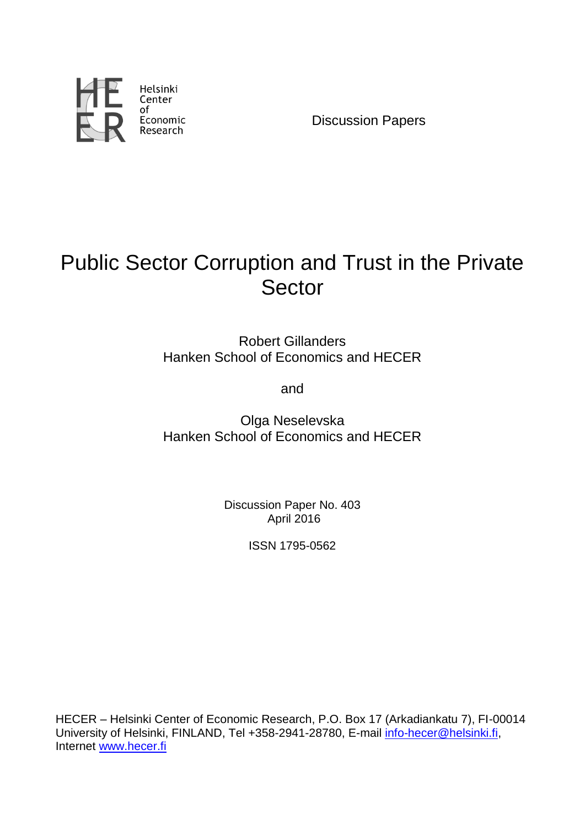

Discussion Papers

# Public Sector Corruption and Trust in the Private Sector

Robert Gillanders Hanken School of Economics and HECER

and

Olga Neselevska Hanken School of Economics and HECER

> Discussion Paper No. 403 April 2016

> > ISSN 1795-0562

HECER – Helsinki Center of Economic Research, P.O. Box 17 (Arkadiankatu 7), FI-00014 University of Helsinki, FINLAND, Tel +358-2941-28780, E-mail [info-hecer@helsinki.fi,](mailto:info-hecer@helsinki.fi) Internet [www.hecer.fi](http://www.hecer.fi/)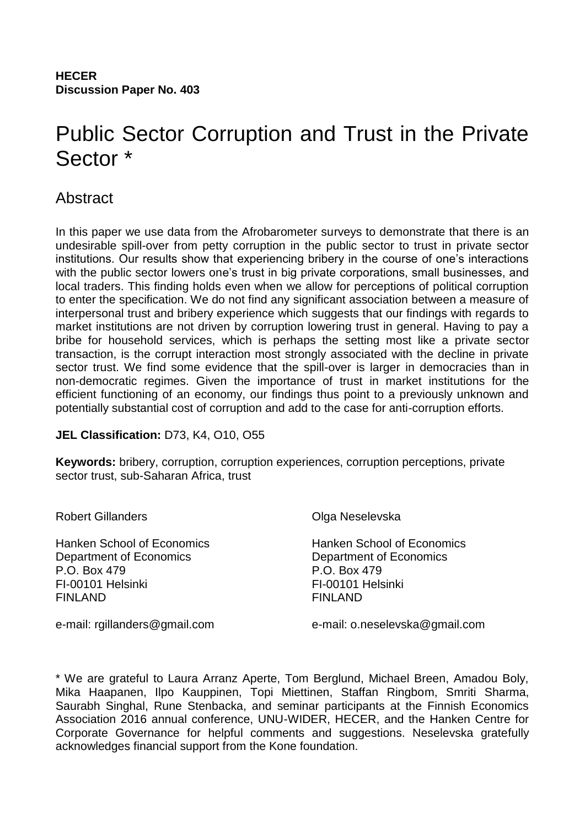# Public Sector Corruption and Trust in the Private Sector \*

# Abstract

In this paper we use data from the Afrobarometer surveys to demonstrate that there is an undesirable spill-over from petty corruption in the public sector to trust in private sector institutions. Our results show that experiencing bribery in the course of one's interactions with the public sector lowers one's trust in big private corporations, small businesses, and local traders. This finding holds even when we allow for perceptions of political corruption to enter the specification. We do not find any significant association between a measure of interpersonal trust and bribery experience which suggests that our findings with regards to market institutions are not driven by corruption lowering trust in general. Having to pay a bribe for household services, which is perhaps the setting most like a private sector transaction, is the corrupt interaction most strongly associated with the decline in private sector trust. We find some evidence that the spill-over is larger in democracies than in non-democratic regimes. Given the importance of trust in market institutions for the efficient functioning of an economy, our findings thus point to a previously unknown and potentially substantial cost of corruption and add to the case for anti-corruption efforts.

## **JEL Classification:** D73, K4, O10, O55

**Keywords:** bribery, corruption, corruption experiences, corruption perceptions, private sector trust, sub-Saharan Africa, trust

| <b>Robert Gillanders</b>          | Olga Neselevska                   |
|-----------------------------------|-----------------------------------|
| <b>Hanken School of Economics</b> | <b>Hanken School of Economics</b> |
| Department of Economics           | Department of Economics           |
| P.O. Box 479                      | P.O. Box 479                      |
| FI-00101 Helsinki                 | FI-00101 Helsinki                 |
| <b>FINLAND</b>                    | <b>FINLAND</b>                    |
| e-mail: rgillanders@gmail.com     | e-mail: o.neselevska@gmail.com    |

\* We are grateful to Laura Arranz Aperte, Tom Berglund, Michael Breen, Amadou Boly, Mika Haapanen, Ilpo Kauppinen, Topi Miettinen, Staffan Ringbom, Smriti Sharma, Saurabh Singhal, Rune Stenbacka, and seminar participants at the Finnish Economics Association 2016 annual conference, UNU-WIDER, HECER, and the Hanken Centre for Corporate Governance for helpful comments and suggestions. Neselevska gratefully acknowledges financial support from the Kone foundation.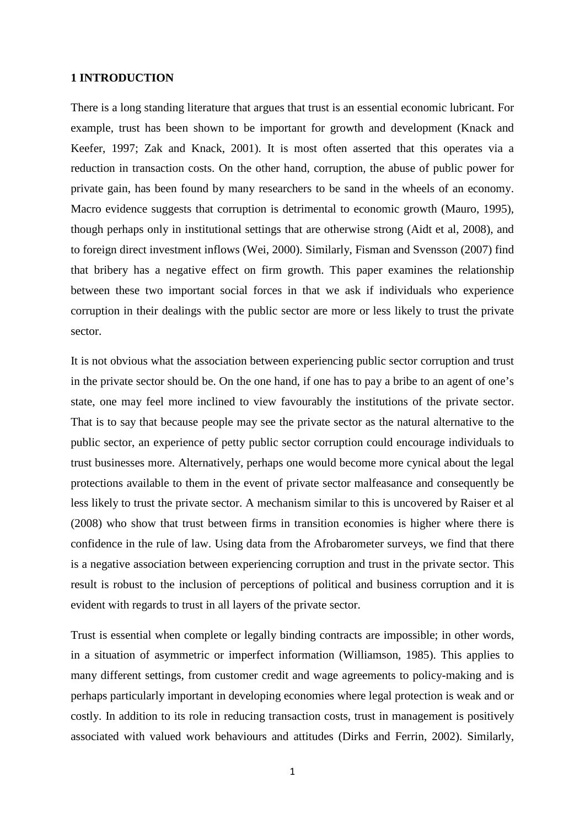#### **1 INTRODUCTION**

There is a long standing literature that argues that trust is an essential economic lubricant. For example, trust has been shown to be important for growth and development (Knack and Keefer, 1997; Zak and Knack, 2001). It is most often asserted that this operates via a reduction in transaction costs. On the other hand, corruption, the abuse of public power for private gain, has been found by many researchers to be sand in the wheels of an economy. Macro evidence suggests that corruption is detrimental to economic growth (Mauro, 1995), though perhaps only in institutional settings that are otherwise strong (Aidt et al, 2008), and to foreign direct investment inflows (Wei, 2000). Similarly, Fisman and Svensson (2007) find that bribery has a negative effect on firm growth. This paper examines the relationship between these two important social forces in that we ask if individuals who experience corruption in their dealings with the public sector are more or less likely to trust the private sector.

It is not obvious what the association between experiencing public sector corruption and trust in the private sector should be. On the one hand, if one has to pay a bribe to an agent of one's state, one may feel more inclined to view favourably the institutions of the private sector. That is to say that because people may see the private sector as the natural alternative to the public sector, an experience of petty public sector corruption could encourage individuals to trust businesses more. Alternatively, perhaps one would become more cynical about the legal protections available to them in the event of private sector malfeasance and consequently be less likely to trust the private sector. A mechanism similar to this is uncovered by Raiser et al (2008) who show that trust between firms in transition economies is higher where there is confidence in the rule of law. Using data from the Afrobarometer surveys, we find that there is a negative association between experiencing corruption and trust in the private sector. This result is robust to the inclusion of perceptions of political and business corruption and it is evident with regards to trust in all layers of the private sector.

Trust is essential when complete or legally binding contracts are impossible; in other words, in a situation of asymmetric or imperfect information (Williamson, 1985). This applies to many different settings, from customer credit and wage agreements to policy-making and is perhaps particularly important in developing economies where legal protection is weak and or costly. In addition to its role in reducing transaction costs, trust in management is positively associated with valued work behaviours and attitudes (Dirks and Ferrin, 2002). Similarly,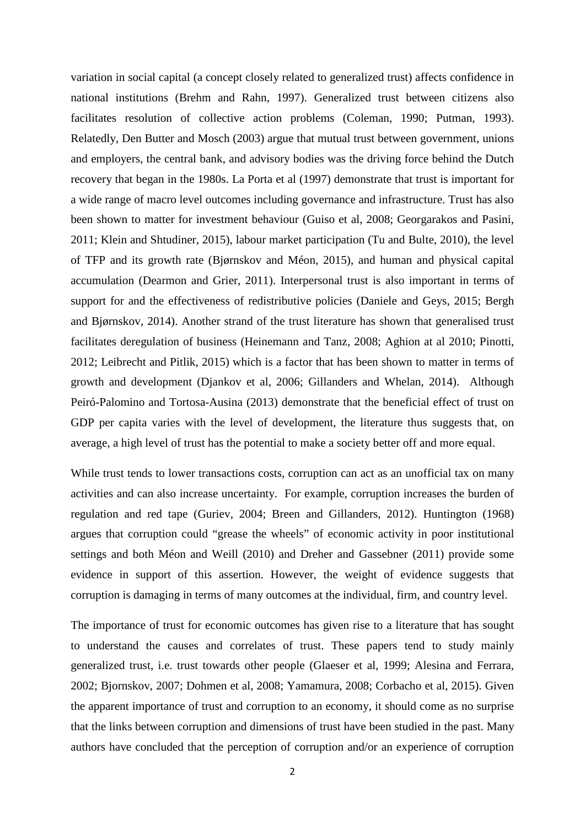variation in social capital (a concept closely related to generalized trust) affects confidence in national institutions (Brehm and Rahn, 1997). Generalized trust between citizens also facilitates resolution of collective action problems (Coleman, 1990; Putman, 1993). Relatedly, Den Butter and Mosch (2003) argue that mutual trust between government, unions and employers, the central bank, and advisory bodies was the driving force behind the Dutch recovery that began in the 1980s. La Porta et al (1997) demonstrate that trust is important for a wide range of macro level outcomes including governance and infrastructure. Trust has also been shown to matter for investment behaviour (Guiso et al, 2008; Georgarakos and Pasini, 2011; Klein and Shtudiner, 2015), labour market participation (Tu and Bulte, 2010), the level of TFP and its growth rate (Bjørnskov and Méon, 2015), and human and physical capital accumulation (Dearmon and Grier, 2011). Interpersonal trust is also important in terms of support for and the effectiveness of redistributive policies (Daniele and Geys, 2015; Bergh and Bjørnskov, 2014). Another strand of the trust literature has shown that generalised trust facilitates deregulation of business (Heinemann and Tanz, 2008; Aghion at al 2010; Pinotti, 2012; Leibrecht and Pitlik, 2015) which is a factor that has been shown to matter in terms of growth and development (Djankov et al, 2006; Gillanders and Whelan, 2014). Although Peiró-Palomino and Tortosa-Ausina (2013) demonstrate that the beneficial effect of trust on GDP per capita varies with the level of development, the literature thus suggests that, on average, a high level of trust has the potential to make a society better off and more equal.

While trust tends to lower transactions costs, corruption can act as an unofficial tax on many activities and can also increase uncertainty. For example, corruption increases the burden of regulation and red tape (Guriev, 2004; Breen and Gillanders, 2012). Huntington (1968) argues that corruption could "grease the wheels" of economic activity in poor institutional settings and both Méon and Weill (2010) and Dreher and Gassebner (2011) provide some evidence in support of this assertion. However, the weight of evidence suggests that corruption is damaging in terms of many outcomes at the individual, firm, and country level.

The importance of trust for economic outcomes has given rise to a literature that has sought to understand the causes and correlates of trust. These papers tend to study mainly generalized trust, i.e. trust towards other people (Glaeser et al, 1999; Alesina and Ferrara, 2002; Bjornskov, 2007; Dohmen et al, 2008; Yamamura, 2008; Corbacho et al, 2015). Given the apparent importance of trust and corruption to an economy, it should come as no surprise that the links between corruption and dimensions of trust have been studied in the past. Many authors have concluded that the perception of corruption and/or an experience of corruption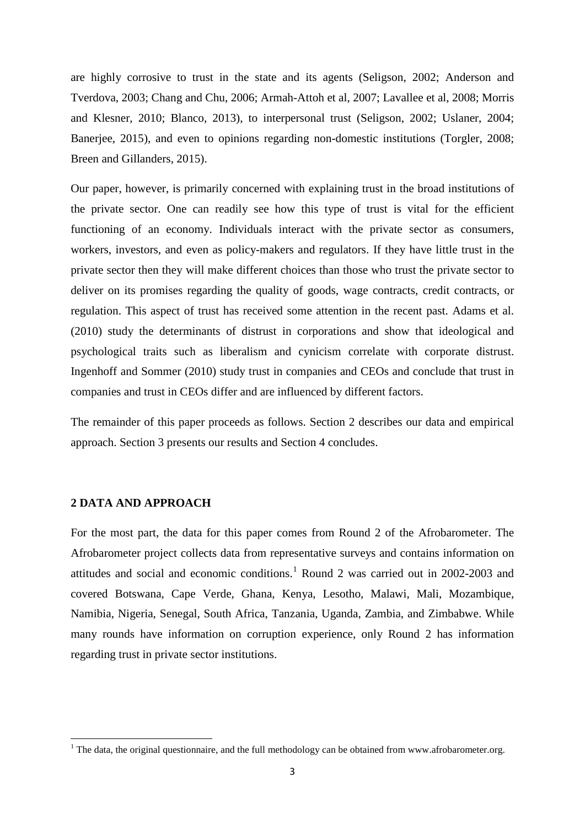<span id="page-4-0"></span>are highly corrosive to trust in the state and its agents (Seligson, 2002; Anderson and Tverdova, 2003; Chang and Chu, 2006; Armah-Attoh et al, 2007; Lavallee et al, 2008; Morris and Klesner, 2010; Blanco, 2013), to interpersonal trust (Seligson, 2002; Uslaner, 2004; Banerjee, 2015), and even to opinions regarding non-domestic institutions (Torgler, 2008; Breen and Gillanders, 2015).

Our paper, however, is primarily concerned with explaining trust in the broad institutions of the private sector. One can readily see how this type of trust is vital for the efficient functioning of an economy. Individuals interact with the private sector as consumers, workers, investors, and even as policy-makers and regulators. If they have little trust in the private sector then they will make different choices than those who trust the private sector to deliver on its promises regarding the quality of goods, wage contracts, credit contracts, or regulation. This aspect of trust has received some attention in the recent past. Adams et al. (2010) study the determinants of distrust in corporations and show that ideological and psychological traits such as liberalism and cynicism correlate with corporate distrust. Ingenhoff and Sommer (2010) study trust in companies and CEOs and conclude that trust in companies and trust in CEOs differ and are influenced by different factors.

The remainder of this paper proceeds as follows. Section 2 describes our data and empirical approach. Section 3 presents our results and Section 4 concludes.

#### **2 DATA AND APPROACH**

For the most part, the data for this paper comes from Round 2 of the Afrobarometer. The Afrobarometer project collects data from representative surveys and contains information on attitudes and social and economic conditions.<sup>[1](#page-4-0)</sup> Round 2 was carried out in 2002-2003 and covered Botswana, Cape Verde, Ghana, Kenya, Lesotho, Malawi, Mali, Mozambique, Namibia, Nigeria, Senegal, South Africa, Tanzania, Uganda, Zambia, and Zimbabwe. While many rounds have information on corruption experience, only Round 2 has information regarding trust in private sector institutions.

 $1$  The data, the original questionnaire, and the full methodology can be obtained from www.afrobarometer.org.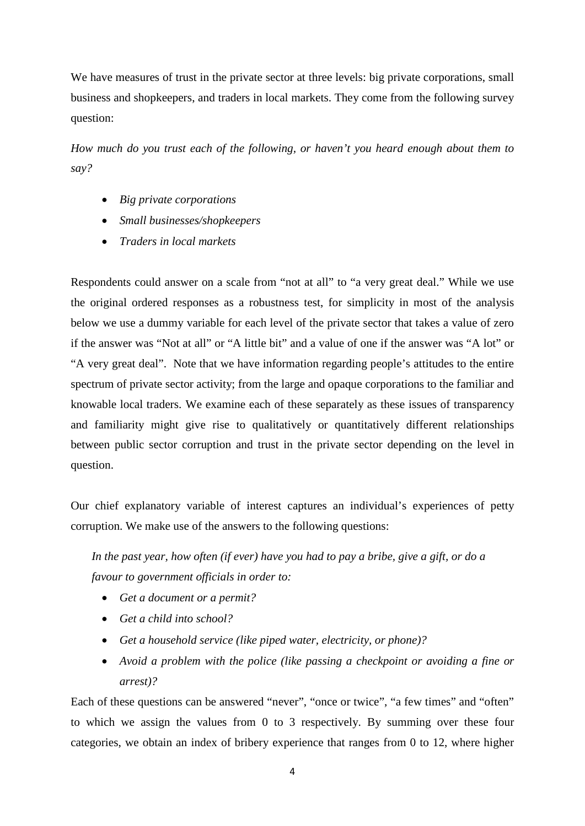We have measures of trust in the private sector at three levels: big private corporations, small business and shopkeepers, and traders in local markets. They come from the following survey question:

*How much do you trust each of the following, or haven't you heard enough about them to say?*

- *Big private corporations*
- *Small businesses/shopkeepers*
- *Traders in local markets*

Respondents could answer on a scale from "not at all" to "a very great deal." While we use the original ordered responses as a robustness test, for simplicity in most of the analysis below we use a dummy variable for each level of the private sector that takes a value of zero if the answer was "Not at all" or "A little bit" and a value of one if the answer was "A lot" or "A very great deal". Note that we have information regarding people's attitudes to the entire spectrum of private sector activity; from the large and opaque corporations to the familiar and knowable local traders. We examine each of these separately as these issues of transparency and familiarity might give rise to qualitatively or quantitatively different relationships between public sector corruption and trust in the private sector depending on the level in question.

Our chief explanatory variable of interest captures an individual's experiences of petty corruption. We make use of the answers to the following questions:

*In the past year, how often (if ever) have you had to pay a bribe, give a gift, or do a favour to government officials in order to:*

- *Get a document or a permit?*
- *Get a child into school?*
- *Get a household service (like piped water, electricity, or phone)?*
- *Avoid a problem with the police (like passing a checkpoint or avoiding a fine or arrest)?*

Each of these questions can be answered "never", "once or twice", "a few times" and "often" to which we assign the values from 0 to 3 respectively. By summing over these four categories, we obtain an index of bribery experience that ranges from 0 to 12, where higher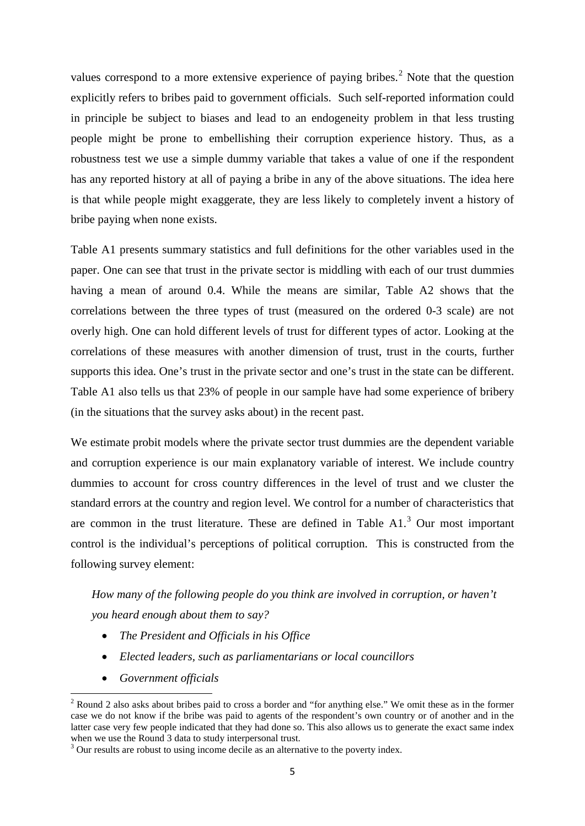<span id="page-6-0"></span>values correspond to a more extensive experience of paying bribes.<sup>[2](#page-6-0)</sup> Note that the question explicitly refers to bribes paid to government officials. Such self-reported information could in principle be subject to biases and lead to an endogeneity problem in that less trusting people might be prone to embellishing their corruption experience history. Thus, as a robustness test we use a simple dummy variable that takes a value of one if the respondent has any reported history at all of paying a bribe in any of the above situations. The idea here is that while people might exaggerate, they are less likely to completely invent a history of bribe paying when none exists.

Table A1 presents summary statistics and full definitions for the other variables used in the paper. One can see that trust in the private sector is middling with each of our trust dummies having a mean of around 0.4. While the means are similar, Table A2 shows that the correlations between the three types of trust (measured on the ordered 0-3 scale) are not overly high. One can hold different levels of trust for different types of actor. Looking at the correlations of these measures with another dimension of trust, trust in the courts, further supports this idea. One's trust in the private sector and one's trust in the state can be different. Table A1 also tells us that 23% of people in our sample have had some experience of bribery (in the situations that the survey asks about) in the recent past.

We estimate probit models where the private sector trust dummies are the dependent variable and corruption experience is our main explanatory variable of interest. We include country dummies to account for cross country differences in the level of trust and we cluster the standard errors at the country and region level. We control for a number of characteristics that are common in the trust literature. These are defined in Table  $A1<sup>3</sup>$  $A1<sup>3</sup>$  $A1<sup>3</sup>$  Our most important control is the individual's perceptions of political corruption. This is constructed from the following survey element:

# *How many of the following people do you think are involved in corruption, or haven't you heard enough about them to say?*

- *The President and Officials in his Office*
- *Elected leaders, such as parliamentarians or local councillors*
- *Government officials*

<sup>&</sup>lt;sup>2</sup> Round 2 also asks about bribes paid to cross a border and "for anything else." We omit these as in the former case we do not know if the bribe was paid to agents of the respondent's own country or of another and in the latter case very few people indicated that they had done so. This also allows us to generate the exact same index when we use the Round 3 data to study interpersonal trust.

<sup>&</sup>lt;sup>3</sup> Our results are robust to using income decile as an alternative to the poverty index.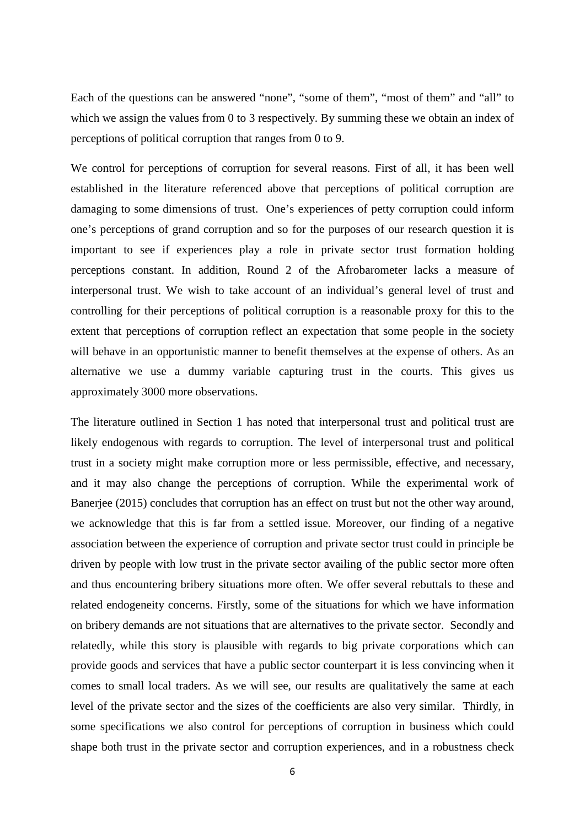Each of the questions can be answered "none", "some of them", "most of them" and "all" to which we assign the values from 0 to 3 respectively. By summing these we obtain an index of perceptions of political corruption that ranges from 0 to 9.

We control for perceptions of corruption for several reasons. First of all, it has been well established in the literature referenced above that perceptions of political corruption are damaging to some dimensions of trust. One's experiences of petty corruption could inform one's perceptions of grand corruption and so for the purposes of our research question it is important to see if experiences play a role in private sector trust formation holding perceptions constant. In addition, Round 2 of the Afrobarometer lacks a measure of interpersonal trust. We wish to take account of an individual's general level of trust and controlling for their perceptions of political corruption is a reasonable proxy for this to the extent that perceptions of corruption reflect an expectation that some people in the society will behave in an opportunistic manner to benefit themselves at the expense of others. As an alternative we use a dummy variable capturing trust in the courts. This gives us approximately 3000 more observations.

The literature outlined in Section 1 has noted that interpersonal trust and political trust are likely endogenous with regards to corruption. The level of interpersonal trust and political trust in a society might make corruption more or less permissible, effective, and necessary, and it may also change the perceptions of corruption. While the experimental work of Banerjee (2015) concludes that corruption has an effect on trust but not the other way around, we acknowledge that this is far from a settled issue. Moreover, our finding of a negative association between the experience of corruption and private sector trust could in principle be driven by people with low trust in the private sector availing of the public sector more often and thus encountering bribery situations more often. We offer several rebuttals to these and related endogeneity concerns. Firstly, some of the situations for which we have information on bribery demands are not situations that are alternatives to the private sector. Secondly and relatedly, while this story is plausible with regards to big private corporations which can provide goods and services that have a public sector counterpart it is less convincing when it comes to small local traders. As we will see, our results are qualitatively the same at each level of the private sector and the sizes of the coefficients are also very similar. Thirdly, in some specifications we also control for perceptions of corruption in business which could shape both trust in the private sector and corruption experiences, and in a robustness check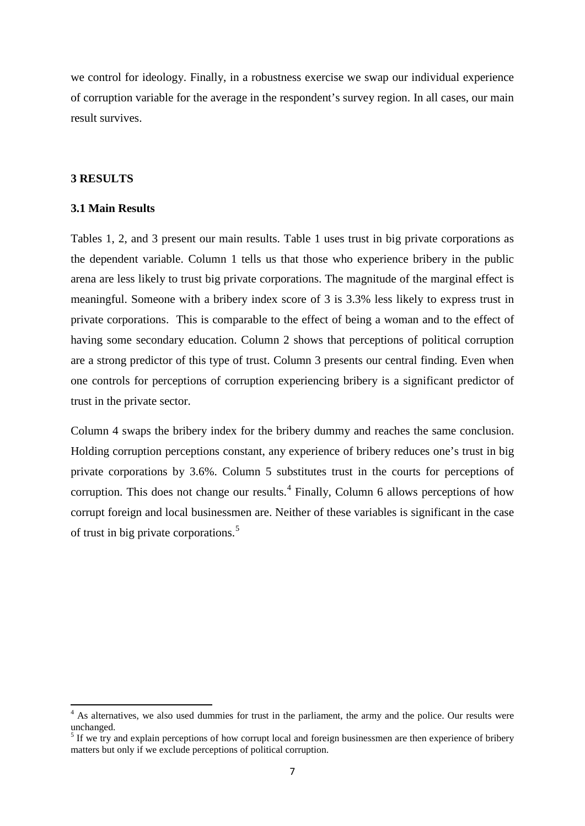<span id="page-8-0"></span>we control for ideology. Finally, in a robustness exercise we swap our individual experience of corruption variable for the average in the respondent's survey region. In all cases, our main result survives.

#### **3 RESULTS**

#### **3.1 Main Results**

Tables 1, 2, and 3 present our main results. Table 1 uses trust in big private corporations as the dependent variable. Column 1 tells us that those who experience bribery in the public arena are less likely to trust big private corporations. The magnitude of the marginal effect is meaningful. Someone with a bribery index score of 3 is 3.3% less likely to express trust in private corporations. This is comparable to the effect of being a woman and to the effect of having some secondary education. Column 2 shows that perceptions of political corruption are a strong predictor of this type of trust. Column 3 presents our central finding. Even when one controls for perceptions of corruption experiencing bribery is a significant predictor of trust in the private sector.

Column 4 swaps the bribery index for the bribery dummy and reaches the same conclusion. Holding corruption perceptions constant, any experience of bribery reduces one's trust in big private corporations by 3.6%. Column 5 substitutes trust in the courts for perceptions of corruption. This does not change our results.<sup>[4](#page-8-0)</sup> Finally, Column 6 allows perceptions of how corrupt foreign and local businessmen are. Neither of these variables is significant in the case of trust in big private corporations.[5](#page-8-0)

<sup>&</sup>lt;sup>4</sup> As alternatives, we also used dummies for trust in the parliament, the army and the police. Our results were unchanged.

<sup>&</sup>lt;sup>5</sup> If we try and explain perceptions of how corrupt local and foreign businessmen are then experience of bribery matters but only if we exclude perceptions of political corruption.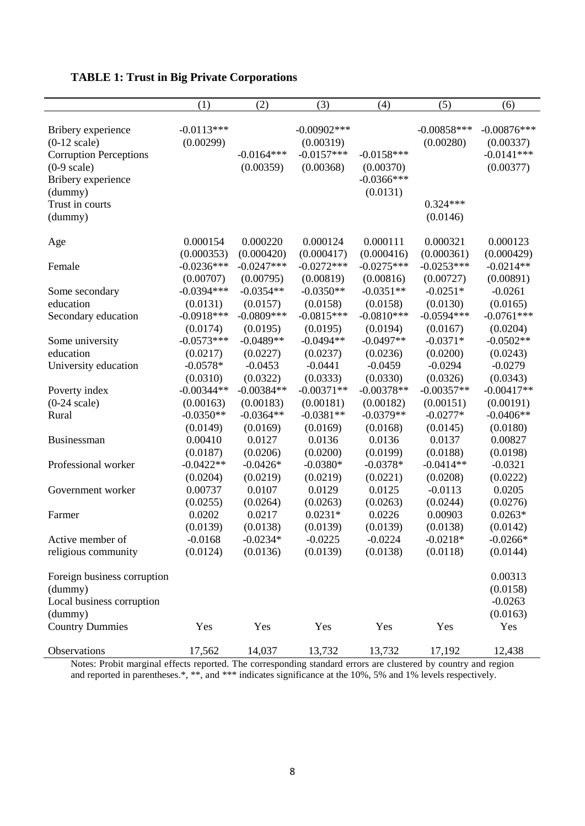|                                                                                                                                                                       | (1)                                                  | (2)                                                  | (3)                                                      | (4)                                                    | (5)                                                  | (6)                                                     |
|-----------------------------------------------------------------------------------------------------------------------------------------------------------------------|------------------------------------------------------|------------------------------------------------------|----------------------------------------------------------|--------------------------------------------------------|------------------------------------------------------|---------------------------------------------------------|
| Bribery experience<br>$(0-12 \text{ scale})$<br><b>Corruption Perceptions</b><br>$(0-9 \text{ scale})$<br>Bribery experience<br>(dummy)<br>Trust in courts<br>(dummy) | $-0.0113***$<br>(0.00299)                            | $-0.0164***$<br>(0.00359)                            | $-0.00902$ ***<br>(0.00319)<br>$-0.0157***$<br>(0.00368) | $-0.0158***$<br>(0.00370)<br>$-0.0366$ ***<br>(0.0131) | $-0.00858***$<br>(0.00280)<br>$0.324***$<br>(0.0146) | $-0.00876***$<br>(0.00337)<br>$-0.0141***$<br>(0.00377) |
| Age                                                                                                                                                                   | 0.000154                                             | 0.000220                                             | 0.000124                                                 | 0.000111                                               | 0.000321                                             | 0.000123                                                |
|                                                                                                                                                                       | (0.000353)                                           | (0.000420)                                           | (0.000417)                                               | (0.000416)                                             | (0.000361)                                           | (0.000429)                                              |
| Female                                                                                                                                                                | $-0.0236***$                                         | $-0.0247***$                                         | $-0.0272***$                                             | $-0.0275***$                                           | $-0.0253***$                                         | $-0.0214**$                                             |
|                                                                                                                                                                       | (0.00707)                                            | (0.00795)                                            | (0.00819)                                                | (0.00816)                                              | (0.00727)                                            | (0.00891)                                               |
| Some secondary                                                                                                                                                        | $-0.0394***$                                         | $-0.0354**$                                          | $-0.0350**$                                              | $-0.0351**$                                            | $-0.0251*$                                           | $-0.0261$                                               |
| education                                                                                                                                                             | (0.0131)                                             | (0.0157)                                             | (0.0158)                                                 | (0.0158)                                               | (0.0130)                                             | (0.0165)                                                |
| Secondary education                                                                                                                                                   | $-0.0918***$                                         | $-0.0809***$                                         | $-0.0815***$                                             | $-0.0810***$                                           | $-0.0594***$                                         | $-0.0761***$                                            |
| Some university<br>education<br>University education                                                                                                                  | (0.0174)<br>$-0.0573***$<br>(0.0217)<br>$-0.0578*$   | (0.0195)<br>$-0.0489**$<br>(0.0227)<br>$-0.0453$     | (0.0195)<br>$-0.0494**$<br>(0.0237)<br>$-0.0441$         | (0.0194)<br>$-0.0497**$<br>(0.0236)<br>$-0.0459$       | (0.0167)<br>$-0.0371*$<br>(0.0200)<br>$-0.0294$      | (0.0204)<br>$-0.0502**$<br>(0.0243)<br>$-0.0279$        |
| Poverty index<br>$(0-24 \text{ scale})$<br>Rural                                                                                                                      | (0.0310)<br>$-0.00344**$<br>(0.00163)<br>$-0.0350**$ | (0.0322)<br>$-0.00384**$<br>(0.00183)<br>$-0.0364**$ | (0.0333)<br>$-0.00371**$<br>(0.00181)<br>$-0.0381**$     | (0.0330)<br>$-0.00378**$<br>(0.00182)<br>$-0.0379**$   | (0.0326)<br>$-0.00357**$<br>(0.00151)<br>$-0.0277*$  | (0.0343)<br>$-0.00417**$<br>(0.00191)<br>$-0.0406**$    |
| Businessman                                                                                                                                                           | (0.0149)                                             | (0.0169)                                             | (0.0169)                                                 | (0.0168)                                               | (0.0145)                                             | (0.0180)                                                |
|                                                                                                                                                                       | 0.00410                                              | 0.0127                                               | 0.0136                                                   | 0.0136                                                 | 0.0137                                               | 0.00827                                                 |
|                                                                                                                                                                       | (0.0187)                                             | (0.0206)                                             | (0.0200)                                                 | (0.0199)                                               | (0.0188)                                             | (0.0198)                                                |
| Professional worker                                                                                                                                                   | $-0.0422**$                                          | $-0.0426*$                                           | $-0.0380*$                                               | $-0.0378*$                                             | $-0.0414**$                                          | $-0.0321$                                               |
|                                                                                                                                                                       | (0.0204)                                             | (0.0219)                                             | (0.0219)                                                 | (0.0221)                                               | (0.0208)                                             | (0.0222)                                                |
| Government worker                                                                                                                                                     | 0.00737                                              | 0.0107                                               | 0.0129                                                   | 0.0125                                                 | $-0.0113$                                            | 0.0205                                                  |
|                                                                                                                                                                       | (0.0255)                                             | (0.0264)                                             | (0.0263)                                                 | (0.0263)                                               | (0.0244)                                             | (0.0276)                                                |
| Farmer                                                                                                                                                                | 0.0202                                               | 0.0217                                               | $0.0231*$                                                | 0.0226                                                 | 0.00903                                              | $0.0263*$                                               |
|                                                                                                                                                                       | (0.0139)                                             | (0.0138)                                             | (0.0139)                                                 | (0.0139)                                               | (0.0138)                                             | (0.0142)                                                |
| Active member of                                                                                                                                                      | $-0.0168$                                            | $-0.0234*$                                           | $-0.0225$                                                | $-0.0224$                                              | $-0.0218*$                                           | $-0.0266*$                                              |
| religious community                                                                                                                                                   | (0.0124)                                             | (0.0136)                                             | (0.0139)                                                 | (0.0138)                                               | (0.0118)                                             | (0.0144)                                                |
| Foreign business corruption<br>(dummy)<br>Local business corruption<br>(dummy)                                                                                        |                                                      |                                                      |                                                          |                                                        |                                                      | 0.00313<br>(0.0158)<br>$-0.0263$<br>(0.0163)            |
| <b>Country Dummies</b>                                                                                                                                                | Yes                                                  | Yes                                                  | Yes                                                      | Yes                                                    | Yes                                                  | Yes                                                     |
| Observations                                                                                                                                                          | 17,562                                               | 14,037                                               | 13,732                                                   | 13,732                                                 | 17,192                                               | 12,438                                                  |

## **TABLE 1: Trust in Big Private Corporations**

Notes: Probit marginal effects reported. The corresponding standard errors are clustered by country and region and reported in parentheses.\*, \*\*, and \*\*\* indicates significance at the 10%, 5% and 1% levels respectively.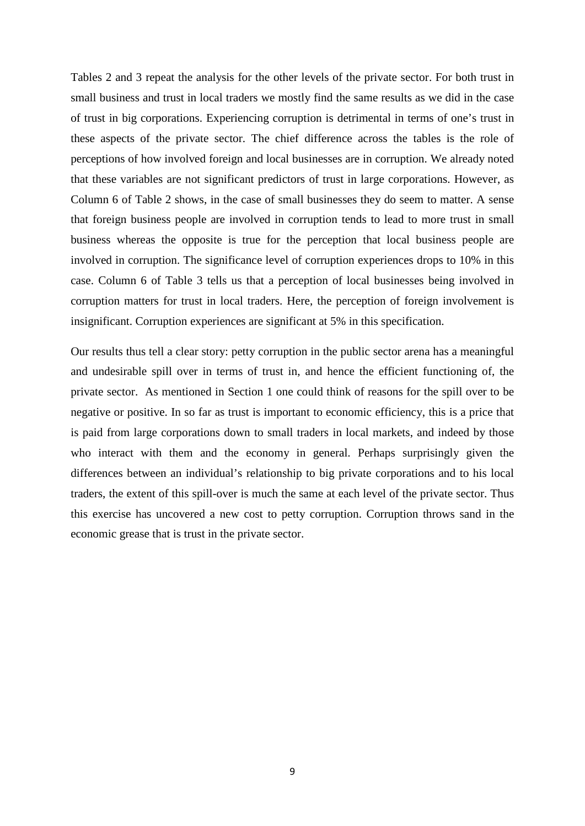Tables 2 and 3 repeat the analysis for the other levels of the private sector. For both trust in small business and trust in local traders we mostly find the same results as we did in the case of trust in big corporations. Experiencing corruption is detrimental in terms of one's trust in these aspects of the private sector. The chief difference across the tables is the role of perceptions of how involved foreign and local businesses are in corruption. We already noted that these variables are not significant predictors of trust in large corporations. However, as Column 6 of Table 2 shows, in the case of small businesses they do seem to matter. A sense that foreign business people are involved in corruption tends to lead to more trust in small business whereas the opposite is true for the perception that local business people are involved in corruption. The significance level of corruption experiences drops to 10% in this case. Column 6 of Table 3 tells us that a perception of local businesses being involved in corruption matters for trust in local traders. Here, the perception of foreign involvement is insignificant. Corruption experiences are significant at 5% in this specification.

Our results thus tell a clear story: petty corruption in the public sector arena has a meaningful and undesirable spill over in terms of trust in, and hence the efficient functioning of, the private sector. As mentioned in Section 1 one could think of reasons for the spill over to be negative or positive. In so far as trust is important to economic efficiency, this is a price that is paid from large corporations down to small traders in local markets, and indeed by those who interact with them and the economy in general. Perhaps surprisingly given the differences between an individual's relationship to big private corporations and to his local traders, the extent of this spill-over is much the same at each level of the private sector. Thus this exercise has uncovered a new cost to petty corruption. Corruption throws sand in the economic grease that is trust in the private sector.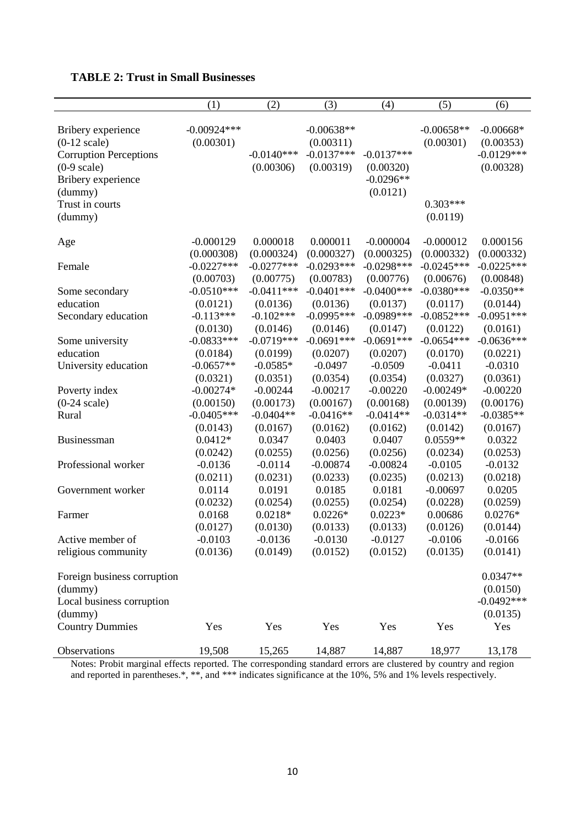|  |  |  |  |  |  | <b>TABLE 2: Trust in Small Businesses</b> |
|--|--|--|--|--|--|-------------------------------------------|
|--|--|--|--|--|--|-------------------------------------------|

|                                                                                                                                                                       | (1)                                 | (2)                                 | (3)                                                    | (4)                                                  | (5)                                                 | (6)                                                   |
|-----------------------------------------------------------------------------------------------------------------------------------------------------------------------|-------------------------------------|-------------------------------------|--------------------------------------------------------|------------------------------------------------------|-----------------------------------------------------|-------------------------------------------------------|
| Bribery experience<br>$(0-12 \text{ scale})$<br><b>Corruption Perceptions</b><br>$(0-9 \text{ scale})$<br>Bribery experience<br>(dummy)<br>Trust in courts<br>(dummy) | $-0.00924***$<br>(0.00301)          | $-0.0140***$<br>(0.00306)           | $-0.00638**$<br>(0.00311)<br>$-0.0137***$<br>(0.00319) | $-0.0137***$<br>(0.00320)<br>$-0.0296**$<br>(0.0121) | $-0.00658**$<br>(0.00301)<br>$0.303***$<br>(0.0119) | $-0.00668*$<br>(0.00353)<br>$-0.0129***$<br>(0.00328) |
| Age                                                                                                                                                                   | $-0.000129$                         | 0.000018                            | 0.000011                                               | $-0.000004$                                          | $-0.000012$                                         | 0.000156                                              |
|                                                                                                                                                                       | (0.000308)                          | (0.000324)                          | (0.000327)                                             | (0.000325)                                           | (0.000332)                                          | (0.000332)                                            |
| Female                                                                                                                                                                | $-0.0227***$                        | $-0.0277***$                        | $-0.0293***$                                           | $-0.0298***$                                         | $-0.0245***$                                        | $-0.0225***$                                          |
|                                                                                                                                                                       | (0.00703)                           | (0.00775)                           | (0.00783)                                              | (0.00776)                                            | (0.00676)                                           | (0.00848)                                             |
| Some secondary                                                                                                                                                        | $-0.0510***$                        | $-0.0411***$                        | $-0.0401***$                                           | $-0.0400***$                                         | $-0.0380***$                                        | $-0.0350**$                                           |
| education<br>Secondary education                                                                                                                                      | (0.0121)<br>$-0.113***$<br>(0.0130) | (0.0136)<br>$-0.102***$<br>(0.0146) | (0.0136)<br>$-0.0995***$<br>(0.0146)                   | (0.0137)<br>$-0.0989***$<br>(0.0147)                 | (0.0117)<br>$-0.0852***$<br>(0.0122)                | (0.0144)<br>$-0.0951***$<br>(0.0161)                  |
| Some university                                                                                                                                                       | $-0.0833***$                        | $-0.0719***$                        | $-0.0691***$                                           | $-0.0691***$                                         | $-0.0654***$                                        | $-0.0636***$                                          |
| education                                                                                                                                                             | (0.0184)                            | (0.0199)                            | (0.0207)                                               | (0.0207)                                             | (0.0170)                                            | (0.0221)                                              |
| University education                                                                                                                                                  | $-0.0657**$                         | $-0.0585*$                          | $-0.0497$                                              | $-0.0509$                                            | $-0.0411$                                           | $-0.0310$                                             |
|                                                                                                                                                                       | (0.0321)                            | (0.0351)                            | (0.0354)                                               | (0.0354)                                             | (0.0327)                                            | (0.0361)                                              |
| Poverty index                                                                                                                                                         | $-0.00274*$                         | $-0.00244$                          | $-0.00217$                                             | $-0.00220$                                           | $-0.00249*$                                         | $-0.00220$                                            |
| $(0-24 \text{ scale})$                                                                                                                                                | (0.00150)                           | (0.00173)                           | (0.00167)                                              | (0.00168)                                            | (0.00139)                                           | (0.00176)                                             |
| Rural                                                                                                                                                                 | $-0.0405***$                        | $-0.0404**$                         | $-0.0416**$                                            | $-0.0414**$                                          | $-0.0314**$                                         | $-0.0385**$                                           |
|                                                                                                                                                                       | (0.0143)                            | (0.0167)                            | (0.0162)                                               | (0.0162)                                             | (0.0142)                                            | (0.0167)                                              |
| Businessman                                                                                                                                                           | $0.0412*$                           | 0.0347                              | 0.0403                                                 | 0.0407                                               | $0.0559**$                                          | 0.0322                                                |
|                                                                                                                                                                       | (0.0242)                            | (0.0255)                            | (0.0256)                                               | (0.0256)                                             | (0.0234)                                            | (0.0253)                                              |
| Professional worker                                                                                                                                                   | $-0.0136$                           | $-0.0114$                           | $-0.00874$                                             | $-0.00824$                                           | $-0.0105$                                           | $-0.0132$                                             |
|                                                                                                                                                                       | (0.0211)                            | (0.0231)                            | (0.0233)                                               | (0.0235)                                             | (0.0213)                                            | (0.0218)                                              |
| Government worker                                                                                                                                                     | 0.0114                              | 0.0191                              | 0.0185                                                 | 0.0181                                               | $-0.00697$                                          | 0.0205                                                |
|                                                                                                                                                                       | (0.0232)                            | (0.0254)                            | (0.0255)                                               | (0.0254)                                             | (0.0228)                                            | (0.0259)                                              |
| Farmer                                                                                                                                                                | 0.0168                              | $0.0218*$                           | $0.0226*$                                              | $0.0223*$                                            | 0.00686                                             | $0.0276*$                                             |
|                                                                                                                                                                       | (0.0127)                            | (0.0130)                            | (0.0133)                                               | (0.0133)                                             | (0.0126)                                            | (0.0144)                                              |
| Active member of                                                                                                                                                      | $-0.0103$                           | $-0.0136$                           | $-0.0130$                                              | $-0.0127$                                            | $-0.0106$                                           | $-0.0166$                                             |
| religious community                                                                                                                                                   | (0.0136)                            | (0.0149)                            | (0.0152)                                               | (0.0152)                                             | (0.0135)                                            | (0.0141)                                              |
| Foreign business corruption<br>(dummy)<br>Local business corruption<br>(dummy)                                                                                        |                                     |                                     |                                                        |                                                      |                                                     | $0.0347**$<br>(0.0150)<br>$-0.0492***$<br>(0.0135)    |
| <b>Country Dummies</b>                                                                                                                                                | Yes                                 | Yes                                 | Yes                                                    | Yes                                                  | Yes                                                 | Yes                                                   |
| Observations                                                                                                                                                          | 19,508                              | 15,265                              | 14,887                                                 | 14,887                                               | 18,977                                              | 13,178                                                |

Notes: Probit marginal effects reported. The corresponding standard errors are clustered by country and region and reported in parentheses.\*, \*\*, and \*\*\* indicates significance at the 10%, 5% and 1% levels respectively.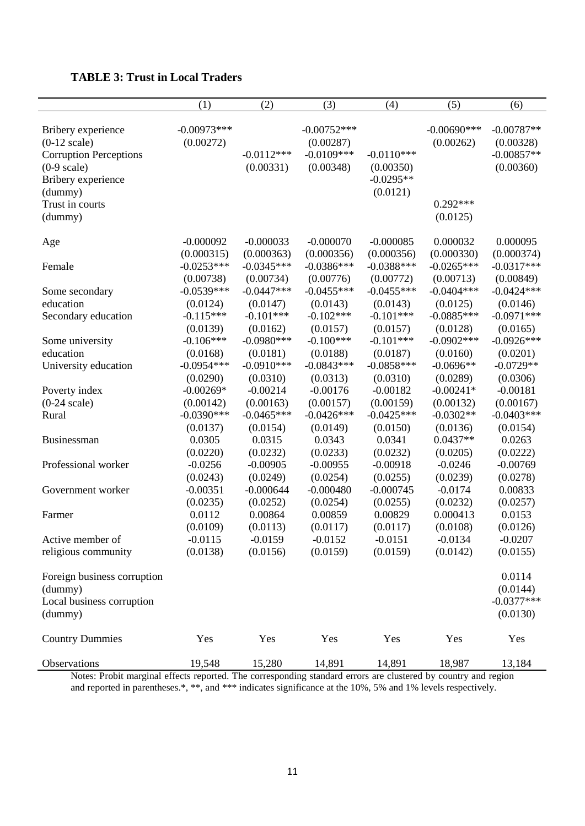|  |  |  |  |  |  |  |  | <b>TABLE 3: Trust in Local Traders</b> |
|--|--|--|--|--|--|--|--|----------------------------------------|
|--|--|--|--|--|--|--|--|----------------------------------------|

|                                                                                                                                                                       | (1)                                     | (2)                                     | (3)                                                     | (4)                                                  | (5)                                                   | (6)                                                    |
|-----------------------------------------------------------------------------------------------------------------------------------------------------------------------|-----------------------------------------|-----------------------------------------|---------------------------------------------------------|------------------------------------------------------|-------------------------------------------------------|--------------------------------------------------------|
| Bribery experience<br>$(0-12 \text{ scale})$<br><b>Corruption Perceptions</b><br>$(0-9 \text{ scale})$<br>Bribery experience<br>(dummy)<br>Trust in courts<br>(dummy) | $-0.00973***$<br>(0.00272)              | $-0.0112***$<br>(0.00331)               | $-0.00752***$<br>(0.00287)<br>$-0.0109***$<br>(0.00348) | $-0.0110***$<br>(0.00350)<br>$-0.0295**$<br>(0.0121) | $-0.00690$ ***<br>(0.00262)<br>$0.292***$<br>(0.0125) | $-0.00787**$<br>(0.00328)<br>$-0.00857**$<br>(0.00360) |
| Age                                                                                                                                                                   | $-0.000092$                             | $-0.000033$                             | $-0.000070$                                             | $-0.000085$                                          | 0.000032                                              | 0.000095                                               |
| Female                                                                                                                                                                | (0.000315)<br>$-0.0253***$<br>(0.00738) | (0.000363)<br>$-0.0345***$<br>(0.00734) | (0.000356)<br>$-0.0386***$<br>(0.00776)                 | (0.000356)<br>$-0.0388***$<br>(0.00772)              | (0.000330)<br>$-0.0265***$<br>(0.00713)               | (0.000374)<br>$-0.0317***$<br>(0.00849)                |
| Some secondary                                                                                                                                                        | $-0.0539***$                            | $-0.0447***$                            | $-0.0455***$                                            | $-0.0455***$                                         | $-0.0404***$                                          | $-0.0424***$                                           |
| education<br>Secondary education                                                                                                                                      | (0.0124)<br>$-0.115***$<br>(0.0139)     | (0.0147)<br>$-0.101***$<br>(0.0162)     | (0.0143)<br>$-0.102***$<br>(0.0157)                     | (0.0143)<br>$-0.101***$<br>(0.0157)                  | (0.0125)<br>$-0.0885***$<br>(0.0128)                  | (0.0146)<br>$-0.0971***$<br>(0.0165)                   |
| Some university<br>education                                                                                                                                          | $-0.106***$                             | $-0.0980***$<br>(0.0181)                | $-0.100***$<br>(0.0188)                                 | $-0.101***$<br>(0.0187)                              | $-0.0902$ ***<br>(0.0160)                             | $-0.0926***$                                           |
| University education                                                                                                                                                  | (0.0168)<br>$-0.0954***$<br>(0.0290)    | $-0.0910***$<br>(0.0310)                | $-0.0843***$<br>(0.0313)                                | $-0.0858***$<br>(0.0310)                             | $-0.0696**$<br>(0.0289)                               | (0.0201)<br>$-0.0729**$<br>(0.0306)                    |
| Poverty index<br>$(0-24 \text{ scale})$                                                                                                                               | $-0.00269*$<br>(0.00142)                | $-0.00214$<br>(0.00163)                 | $-0.00176$<br>(0.00157)                                 | $-0.00182$<br>(0.00159)                              | $-0.00241*$<br>(0.00132)                              | $-0.00181$<br>(0.00167)                                |
| Rural                                                                                                                                                                 | $-0.0390$ ***<br>(0.0137)               | $-0.0465***$<br>(0.0154)                | $-0.0426***$<br>(0.0149)                                | $-0.0425***$<br>(0.0150)                             | $-0.0302**$<br>(0.0136)                               | $-0.0403***$<br>(0.0154)                               |
| <b>Businessman</b>                                                                                                                                                    | 0.0305<br>(0.0220)                      | 0.0315<br>(0.0232)                      | 0.0343<br>(0.0233)                                      | 0.0341<br>(0.0232)                                   | $0.0437**$<br>(0.0205)                                | 0.0263<br>(0.0222)                                     |
| Professional worker                                                                                                                                                   | $-0.0256$<br>(0.0243)                   | $-0.00905$<br>(0.0249)                  | $-0.00955$<br>(0.0254)                                  | $-0.00918$<br>(0.0255)                               | $-0.0246$<br>(0.0239)                                 | $-0.00769$<br>(0.0278)                                 |
| Government worker                                                                                                                                                     | $-0.00351$<br>(0.0235)                  | $-0.000644$<br>(0.0252)                 | $-0.000480$<br>(0.0254)                                 | $-0.000745$<br>(0.0255)                              | $-0.0174$<br>(0.0232)                                 | 0.00833<br>(0.0257)                                    |
| Farmer                                                                                                                                                                | 0.0112<br>(0.0109)                      | 0.00864<br>(0.0113)                     | 0.00859<br>(0.0117)                                     | 0.00829<br>(0.0117)                                  | 0.000413<br>(0.0108)                                  | 0.0153<br>(0.0126)                                     |
| Active member of<br>religious community                                                                                                                               | $-0.0115$<br>(0.0138)                   | $-0.0159$<br>(0.0156)                   | $-0.0152$<br>(0.0159)                                   | $-0.0151$<br>(0.0159)                                | $-0.0134$<br>(0.0142)                                 | $-0.0207$<br>(0.0155)                                  |
| Foreign business corruption<br>(dummy)<br>Local business corruption<br>(dummy)                                                                                        |                                         |                                         |                                                         |                                                      |                                                       | 0.0114<br>(0.0144)<br>$-0.0377***$<br>(0.0130)         |
| <b>Country Dummies</b>                                                                                                                                                | Yes                                     | Yes                                     | Yes                                                     | Yes                                                  | Yes                                                   | Yes                                                    |
| Observations                                                                                                                                                          | 19,548                                  | 15,280                                  | 14,891                                                  | 14,891                                               | 18,987                                                | 13,184                                                 |

Notes: Probit marginal effects reported. The corresponding standard errors are clustered by country and region and reported in parentheses.\*, \*\*, and \*\*\* indicates significance at the 10%, 5% and 1% levels respectively.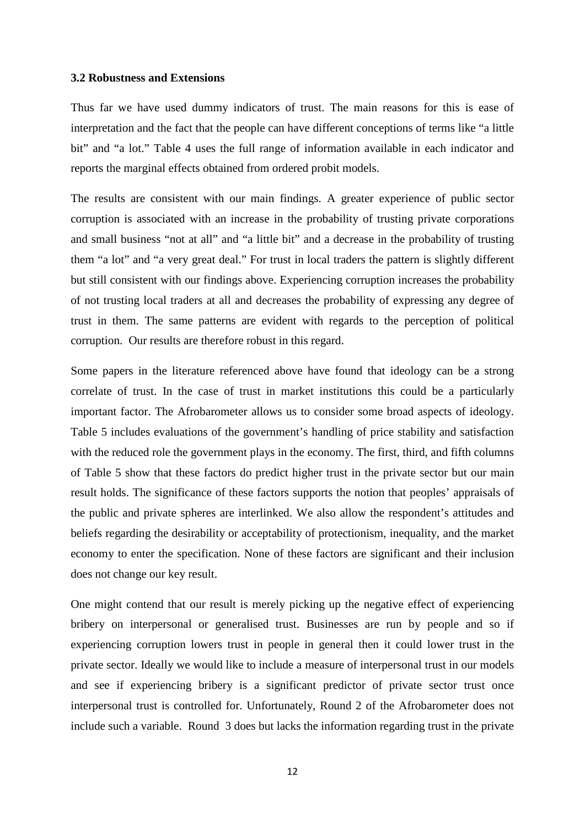#### **3.2 Robustness and Extensions**

Thus far we have used dummy indicators of trust. The main reasons for this is ease of interpretation and the fact that the people can have different conceptions of terms like "a little bit" and "a lot." Table 4 uses the full range of information available in each indicator and reports the marginal effects obtained from ordered probit models.

The results are consistent with our main findings. A greater experience of public sector corruption is associated with an increase in the probability of trusting private corporations and small business "not at all" and "a little bit" and a decrease in the probability of trusting them "a lot" and "a very great deal." For trust in local traders the pattern is slightly different but still consistent with our findings above. Experiencing corruption increases the probability of not trusting local traders at all and decreases the probability of expressing any degree of trust in them. The same patterns are evident with regards to the perception of political corruption. Our results are therefore robust in this regard.

Some papers in the literature referenced above have found that ideology can be a strong correlate of trust. In the case of trust in market institutions this could be a particularly important factor. The Afrobarometer allows us to consider some broad aspects of ideology. Table 5 includes evaluations of the government's handling of price stability and satisfaction with the reduced role the government plays in the economy. The first, third, and fifth columns of Table 5 show that these factors do predict higher trust in the private sector but our main result holds. The significance of these factors supports the notion that peoples' appraisals of the public and private spheres are interlinked. We also allow the respondent's attitudes and beliefs regarding the desirability or acceptability of protectionism, inequality, and the market economy to enter the specification. None of these factors are significant and their inclusion does not change our key result.

One might contend that our result is merely picking up the negative effect of experiencing bribery on interpersonal or generalised trust. Businesses are run by people and so if experiencing corruption lowers trust in people in general then it could lower trust in the private sector. Ideally we would like to include a measure of interpersonal trust in our models and see if experiencing bribery is a significant predictor of private sector trust once interpersonal trust is controlled for. Unfortunately, Round 2 of the Afrobarometer does not include such a variable. Round 3 does but lacks the information regarding trust in the private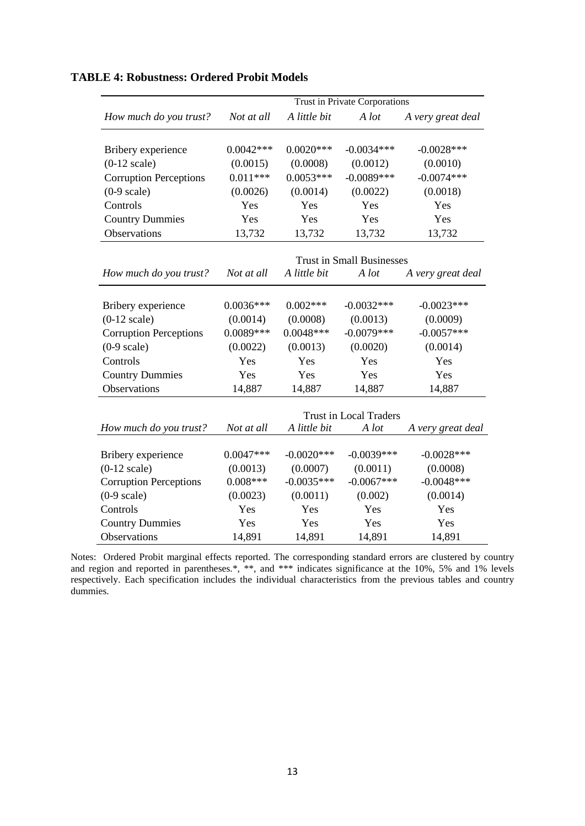|                               | Trust in Private Corporations |               |                                  |                   |  |  |
|-------------------------------|-------------------------------|---------------|----------------------------------|-------------------|--|--|
| How much do you trust?        | Not at all                    | A little bit  | A lot                            | A very great deal |  |  |
| Bribery experience            | $0.0042***$                   | $0.0020***$   | $-0.0034***$                     | $-0.0028$ ***     |  |  |
| $(0-12 \text{ scale})$        | (0.0015)                      | (0.0008)      | (0.0012)                         | (0.0010)          |  |  |
| <b>Corruption Perceptions</b> | $0.011***$                    | $0.0053***$   | $-0.0089***$                     | $-0.0074***$      |  |  |
| $(0-9 \text{ scale})$         | (0.0026)                      | (0.0014)      | (0.0022)                         | (0.0018)          |  |  |
| Controls                      | Yes                           | Yes           | Yes                              | Yes               |  |  |
| <b>Country Dummies</b>        | Yes                           | Yes           | Yes                              | Yes               |  |  |
| Observations                  | 13,732                        | 13,732        | 13,732                           | 13,732            |  |  |
|                               |                               |               |                                  |                   |  |  |
|                               |                               |               | <b>Trust in Small Businesses</b> |                   |  |  |
| How much do you trust?        | Not at all                    | A little bit  | A lot                            | A very great deal |  |  |
| Bribery experience            | $0.0036***$                   | $0.002***$    | $-0.0032***$                     | $-0.0023***$      |  |  |
| $(0-12 \text{ scale})$        | (0.0014)                      | (0.0008)      | (0.0013)                         | (0.0009)          |  |  |
| <b>Corruption Perceptions</b> | $0.0089***$                   | $0.0048***$   | $-0.0079***$                     | $-0.0057***$      |  |  |
| $(0-9 \text{ scale})$         | (0.0022)                      | (0.0013)      | (0.0020)                         | (0.0014)          |  |  |
| Controls                      | Yes                           | Yes           | Yes                              | Yes               |  |  |
| <b>Country Dummies</b>        | Yes                           | Yes           | Yes                              | Yes               |  |  |
| Observations                  | 14,887                        | 14,887        | 14,887                           | 14,887            |  |  |
|                               |                               |               |                                  |                   |  |  |
|                               |                               |               | <b>Trust in Local Traders</b>    |                   |  |  |
| How much do you trust?        | Not at all                    | A little bit  | A lot                            | A very great deal |  |  |
|                               |                               |               |                                  |                   |  |  |
| Bribery experience            | $0.0047***$                   | $-0.0020$ *** | $-0.0039***$                     | $-0.0028***$      |  |  |
| $(0-12 \text{ scale})$        | (0.0013)                      | (0.0007)      | (0.0011)                         | (0.0008)          |  |  |
| <b>Corruption Perceptions</b> | $0.008***$                    | $-0.0035***$  | $-0.0067***$                     | $-0.0048***$      |  |  |
| $(0-9 \text{ scale})$         | (0.0023)                      | (0.0011)      | (0.002)                          | (0.0014)          |  |  |
| Controls                      | Yes                           | Yes           | Yes                              | Yes               |  |  |
| <b>Country Dummies</b>        | Yes                           | Yes           | Yes                              | Yes               |  |  |
| Observations                  | 14,891                        | 14,891        | 14,891                           | 14,891            |  |  |

#### **TABLE 4: Robustness: Ordered Probit Models**

Notes: Ordered Probit marginal effects reported. The corresponding standard errors are clustered by country and region and reported in parentheses.\*, \*\*, and \*\*\* indicates significance at the 10%, 5% and 1% levels respectively. Each specification includes the individual characteristics from the previous tables and country dummies.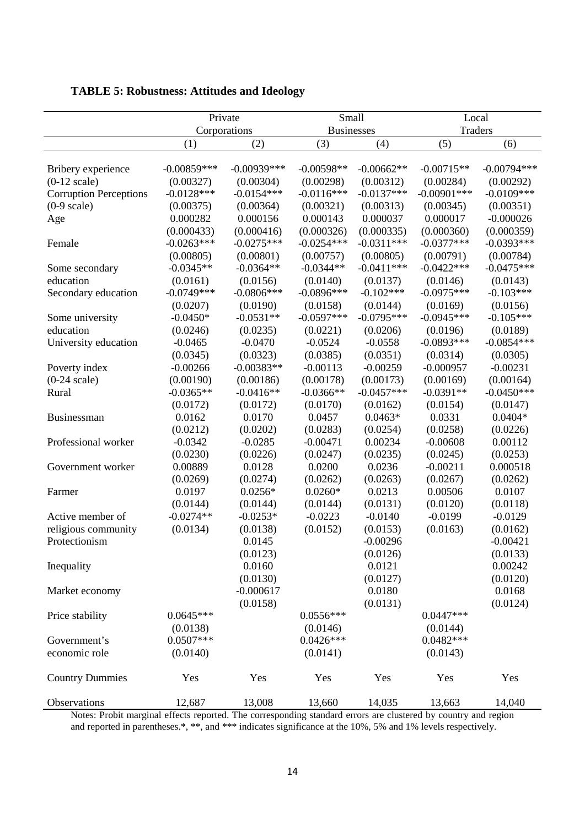|                               | Private       |               | Small             |              | Local          |               |
|-------------------------------|---------------|---------------|-------------------|--------------|----------------|---------------|
|                               |               | Corporations  | <b>Businesses</b> |              | <b>Traders</b> |               |
|                               | (1)           | (2)           | (3)               | (4)          | (5)            | (6)           |
|                               |               |               |                   |              |                |               |
| Bribery experience            | $-0.00859***$ | $-0.00939***$ | $-0.00598**$      | $-0.00662**$ | $-0.00715**$   | $-0.00794***$ |
| $(0-12 \text{ scale})$        | (0.00327)     | (0.00304)     | (0.00298)         | (0.00312)    | (0.00284)      | (0.00292)     |
| <b>Corruption Perceptions</b> | $-0.0128***$  | $-0.0154***$  | $-0.0116***$      | $-0.0137***$ | $-0.00901$ *** | $-0.0109***$  |
| $(0-9 \text{ scale})$         | (0.00375)     | (0.00364)     | (0.00321)         | (0.00313)    | (0.00345)      | (0.00351)     |
| Age                           | 0.000282      | 0.000156      | 0.000143          | 0.000037     | 0.000017       | $-0.000026$   |
|                               | (0.000433)    | (0.000416)    | (0.000326)        | (0.000335)   | (0.000360)     | (0.000359)    |
| Female                        | $-0.0263***$  | $-0.0275***$  | $-0.0254***$      | $-0.0311***$ | $-0.0377***$   | $-0.0393***$  |
|                               | (0.00805)     | (0.00801)     | (0.00757)         | (0.00805)    | (0.00791)      | (0.00784)     |
| Some secondary                | $-0.0345**$   | $-0.0364**$   | $-0.0344**$       | $-0.0411***$ | $-0.0422***$   | $-0.0475***$  |
| education                     | (0.0161)      | (0.0156)      | (0.0140)          | (0.0137)     | (0.0146)       | (0.0143)      |
| Secondary education           | $-0.0749***$  | $-0.0806***$  | $-0.0896***$      | $-0.102***$  | $-0.0975***$   | $-0.103***$   |
|                               | (0.0207)      | (0.0190)      | (0.0158)          | (0.0144)     | (0.0169)       | (0.0156)      |
| Some university               | $-0.0450*$    | $-0.0531**$   | $-0.0597***$      | $-0.0795***$ | $-0.0945***$   | $-0.105***$   |
| education                     | (0.0246)      | (0.0235)      | (0.0221)          | (0.0206)     | (0.0196)       | (0.0189)      |
| University education          | $-0.0465$     | $-0.0470$     | $-0.0524$         | $-0.0558$    | $-0.0893***$   | $-0.0854***$  |
|                               | (0.0345)      | (0.0323)      | (0.0385)          | (0.0351)     | (0.0314)       | (0.0305)      |
| Poverty index                 | $-0.00266$    | $-0.00383**$  | $-0.00113$        | $-0.00259$   | $-0.000957$    | $-0.00231$    |
| $(0-24 \text{ scale})$        | (0.00190)     | (0.00186)     | (0.00178)         | (0.00173)    | (0.00169)      | (0.00164)     |
| Rural                         | $-0.0365**$   | $-0.0416**$   | $-0.0366**$       | $-0.0457***$ | $-0.0391**$    | $-0.0450***$  |
|                               | (0.0172)      | (0.0172)      | (0.0170)          | (0.0162)     | (0.0154)       | (0.0147)      |
| Businessman                   | 0.0162        | 0.0170        | 0.0457            | $0.0463*$    | 0.0331         | $0.0404*$     |
|                               | (0.0212)      | (0.0202)      | (0.0283)          | (0.0254)     | (0.0258)       | (0.0226)      |
| Professional worker           | $-0.0342$     | $-0.0285$     | $-0.00471$        | 0.00234      | $-0.00608$     | 0.00112       |
|                               | (0.0230)      | (0.0226)      | (0.0247)          | (0.0235)     | (0.0245)       | (0.0253)      |
| Government worker             | 0.00889       | 0.0128        | 0.0200            | 0.0236       | $-0.00211$     | 0.000518      |
|                               | (0.0269)      | (0.0274)      | (0.0262)          | (0.0263)     | (0.0267)       | (0.0262)      |
| Farmer                        | 0.0197        | $0.0256*$     | $0.0260*$         | 0.0213       | 0.00506        | 0.0107        |
|                               | (0.0144)      | (0.0144)      | (0.0144)          | (0.0131)     | (0.0120)       | (0.0118)      |
| Active member of              | $-0.0274**$   | $-0.0253*$    | $-0.0223$         | $-0.0140$    | $-0.0199$      | $-0.0129$     |
| religious community           | (0.0134)      | (0.0138)      | (0.0152)          | (0.0153)     | (0.0163)       | (0.0162)      |
| Protectionism                 |               | 0.0145        |                   | $-0.00296$   |                | $-0.00421$    |
|                               |               | (0.0123)      |                   | (0.0126)     |                | (0.0133)      |
| Inequality                    |               | 0.0160        |                   | 0.0121       |                | 0.00242       |
|                               |               | (0.0130)      |                   | (0.0127)     |                | (0.0120)      |
| Market economy                |               | $-0.000617$   |                   | 0.0180       |                | 0.0168        |
|                               |               | (0.0158)      |                   | (0.0131)     |                | (0.0124)      |
| Price stability               | $0.0645***$   |               | $0.0556***$       |              | $0.0447***$    |               |
|                               | (0.0138)      |               | (0.0146)          |              | (0.0144)       |               |
| Government's                  | $0.0507***$   |               | $0.0426***$       |              | $0.0482***$    |               |
| economic role                 | (0.0140)      |               | (0.0141)          |              | (0.0143)       |               |
| <b>Country Dummies</b>        | Yes           | Yes           | Yes               | Yes          | Yes            | Yes           |
| Observations                  | 12,687        | 13,008        | 13,660            | 14,035       | 13,663         | 14,040        |

**TABLE 5: Robustness: Attitudes and Ideology**

Notes: Probit marginal effects reported. The corresponding standard errors are clustered by country and region and reported in parentheses.\*, \*\*, and \*\*\* indicates significance at the 10%, 5% and 1% levels respectively.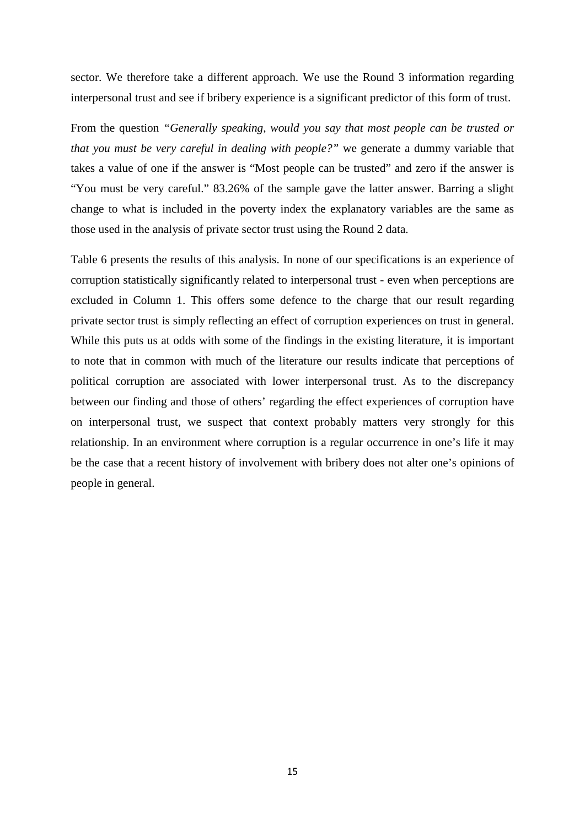sector. We therefore take a different approach. We use the Round 3 information regarding interpersonal trust and see if bribery experience is a significant predictor of this form of trust.

From the question *"Generally speaking, would you say that most people can be trusted or that you must be very careful in dealing with people?"* we generate a dummy variable that takes a value of one if the answer is "Most people can be trusted" and zero if the answer is "You must be very careful." 83.26% of the sample gave the latter answer. Barring a slight change to what is included in the poverty index the explanatory variables are the same as those used in the analysis of private sector trust using the Round 2 data.

Table 6 presents the results of this analysis. In none of our specifications is an experience of corruption statistically significantly related to interpersonal trust - even when perceptions are excluded in Column 1. This offers some defence to the charge that our result regarding private sector trust is simply reflecting an effect of corruption experiences on trust in general. While this puts us at odds with some of the findings in the existing literature, it is important to note that in common with much of the literature our results indicate that perceptions of political corruption are associated with lower interpersonal trust. As to the discrepancy between our finding and those of others' regarding the effect experiences of corruption have on interpersonal trust, we suspect that context probably matters very strongly for this relationship. In an environment where corruption is a regular occurrence in one's life it may be the case that a recent history of involvement with bribery does not alter one's opinions of people in general.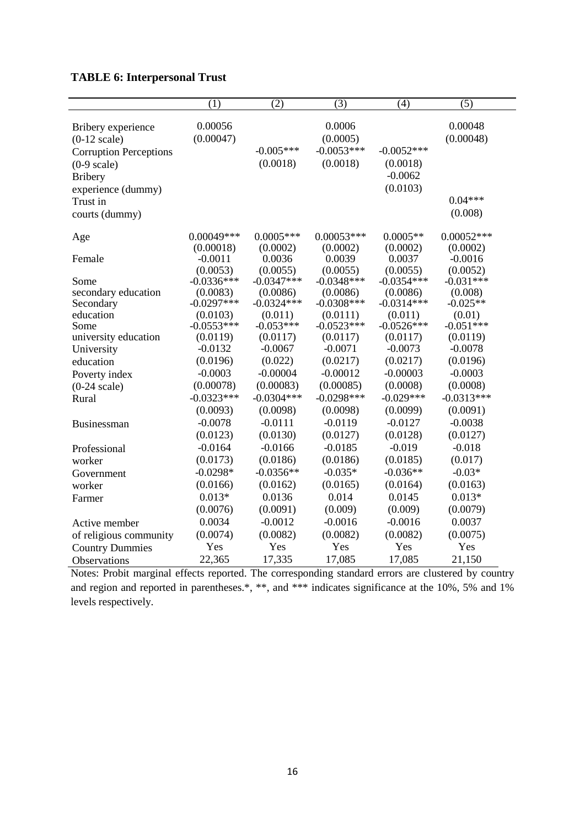| <b>TABLE 6: Interpersonal Trust</b> |  |  |  |
|-------------------------------------|--|--|--|
|-------------------------------------|--|--|--|

|                               | (1)          | $\overline{(2)}$ | $\overline{(3)}$ | (4)          | $\overline{(5)}$ |
|-------------------------------|--------------|------------------|------------------|--------------|------------------|
|                               |              |                  |                  |              |                  |
| Bribery experience            | 0.00056      |                  | 0.0006           |              | 0.00048          |
| $(0-12 \text{ scale})$        | (0.00047)    |                  | (0.0005)         |              | (0.00048)        |
| <b>Corruption Perceptions</b> |              | $-0.005***$      | $-0.0053***$     | $-0.0052***$ |                  |
| $(0-9 \text{ scale})$         |              | (0.0018)         | (0.0018)         | (0.0018)     |                  |
| <b>Bribery</b>                |              |                  |                  | $-0.0062$    |                  |
| experience (dummy)            |              |                  |                  | (0.0103)     |                  |
| Trust in                      |              |                  |                  |              | $0.04***$        |
| courts (dummy)                |              |                  |                  |              | (0.008)          |
| Age                           | $0.00049***$ | $0.0005***$      | $0.00053***$     | $0.0005**$   | $0.00052***$     |
|                               | (0.00018)    | (0.0002)         | (0.0002)         | (0.0002)     | (0.0002)         |
| Female                        | $-0.0011$    | 0.0036           | 0.0039           | 0.0037       | $-0.0016$        |
|                               | (0.0053)     | (0.0055)         | (0.0055)         | (0.0055)     | (0.0052)         |
| Some                          | $-0.0336***$ | $-0.0347***$     | $-0.0348***$     | $-0.0354***$ | $-0.031***$      |
| secondary education           | (0.0083)     | (0.0086)         | (0.0086)         | (0.0086)     | (0.008)          |
| Secondary                     | $-0.0297***$ | $-0.0324***$     | $-0.0308$ ***    | $-0.0314***$ | $-0.025**$       |
| education                     | (0.0103)     | (0.011)          | (0.0111)         | (0.011)      | (0.01)           |
| Some                          | $-0.0553***$ | $-0.053***$      | $-0.0523***$     | $-0.0526***$ | $-0.051***$      |
| university education          | (0.0119)     | (0.0117)         | (0.0117)         | (0.0117)     | (0.0119)         |
| University                    | $-0.0132$    | $-0.0067$        | $-0.0071$        | $-0.0073$    | $-0.0078$        |
| education                     | (0.0196)     | (0.022)          | (0.0217)         | (0.0217)     | (0.0196)         |
| Poverty index                 | $-0.0003$    | $-0.00004$       | $-0.00012$       | $-0.00003$   | $-0.0003$        |
| $(0-24 \text{ scale})$        | (0.00078)    | (0.00083)        | (0.00085)        | (0.0008)     | (0.0008)         |
| Rural                         | $-0.0323***$ | $-0.0304***$     | $-0.0298***$     | $-0.029***$  | $-0.0313***$     |
|                               | (0.0093)     | (0.0098)         | (0.0098)         | (0.0099)     | (0.0091)         |
| Businessman                   | $-0.0078$    | $-0.0111$        | $-0.0119$        | $-0.0127$    | $-0.0038$        |
|                               | (0.0123)     | (0.0130)         | (0.0127)         | (0.0128)     | (0.0127)         |
| Professional                  | $-0.0164$    | $-0.0166$        | $-0.0185$        | $-0.019$     | $-0.018$         |
| worker                        | (0.0173)     | (0.0186)         | (0.0186)         | (0.0185)     | (0.017)          |
| Government                    | $-0.0298*$   | $-0.0356**$      | $-0.035*$        | $-0.036**$   | $-0.03*$         |
| worker                        | (0.0166)     | (0.0162)         | (0.0165)         | (0.0164)     | (0.0163)         |
| Farmer                        | $0.013*$     | 0.0136           | 0.014            | 0.0145       | $0.013*$         |
|                               | (0.0076)     | (0.0091)         | (0.009)          | (0.009)      | (0.0079)         |
| Active member                 | 0.0034       | $-0.0012$        | $-0.0016$        | $-0.0016$    | 0.0037           |
| of religious community        | (0.0074)     | (0.0082)         | (0.0082)         | (0.0082)     | (0.0075)         |
| <b>Country Dummies</b>        | Yes          | Yes              | Yes              | Yes          | Yes              |
| <b>Observations</b>           | 22,365       | 17,335           | 17,085           | 17,085       | 21,150           |

Notes: Probit marginal effects reported. The corresponding standard errors are clustered by country and region and reported in parentheses.\*, \*\*, and \*\*\* indicates significance at the 10%, 5% and 1% levels respectively.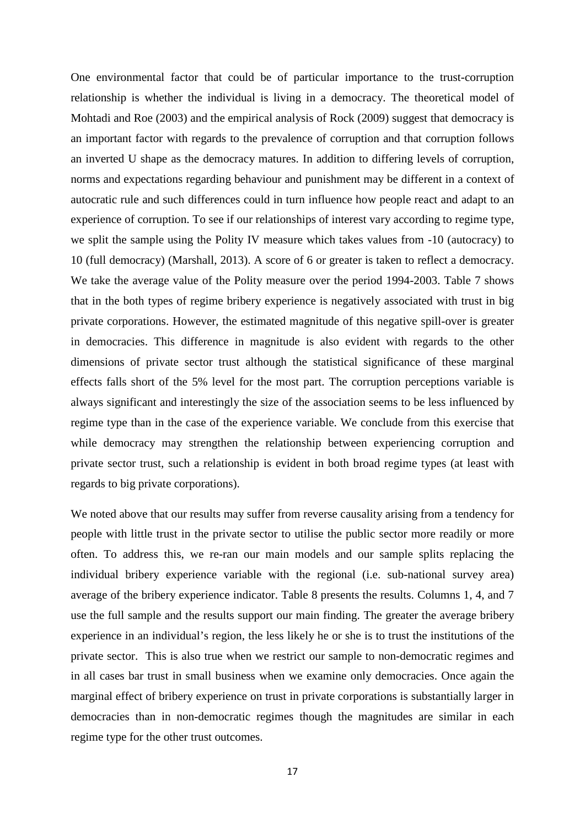One environmental factor that could be of particular importance to the trust-corruption relationship is whether the individual is living in a democracy. The theoretical model of Mohtadi and Roe (2003) and the empirical analysis of Rock (2009) suggest that democracy is an important factor with regards to the prevalence of corruption and that corruption follows an inverted U shape as the democracy matures. In addition to differing levels of corruption, norms and expectations regarding behaviour and punishment may be different in a context of autocratic rule and such differences could in turn influence how people react and adapt to an experience of corruption. To see if our relationships of interest vary according to regime type, we split the sample using the Polity IV measure which takes values from -10 (autocracy) to 10 (full democracy) (Marshall, 2013). A score of 6 or greater is taken to reflect a democracy. We take the average value of the Polity measure over the period 1994-2003. Table 7 shows that in the both types of regime bribery experience is negatively associated with trust in big private corporations. However, the estimated magnitude of this negative spill-over is greater in democracies. This difference in magnitude is also evident with regards to the other dimensions of private sector trust although the statistical significance of these marginal effects falls short of the 5% level for the most part. The corruption perceptions variable is always significant and interestingly the size of the association seems to be less influenced by regime type than in the case of the experience variable. We conclude from this exercise that while democracy may strengthen the relationship between experiencing corruption and private sector trust, such a relationship is evident in both broad regime types (at least with regards to big private corporations).

We noted above that our results may suffer from reverse causality arising from a tendency for people with little trust in the private sector to utilise the public sector more readily or more often. To address this, we re-ran our main models and our sample splits replacing the individual bribery experience variable with the regional (i.e. sub-national survey area) average of the bribery experience indicator. Table 8 presents the results. Columns 1, 4, and 7 use the full sample and the results support our main finding. The greater the average bribery experience in an individual's region, the less likely he or she is to trust the institutions of the private sector. This is also true when we restrict our sample to non-democratic regimes and in all cases bar trust in small business when we examine only democracies. Once again the marginal effect of bribery experience on trust in private corporations is substantially larger in democracies than in non-democratic regimes though the magnitudes are similar in each regime type for the other trust outcomes.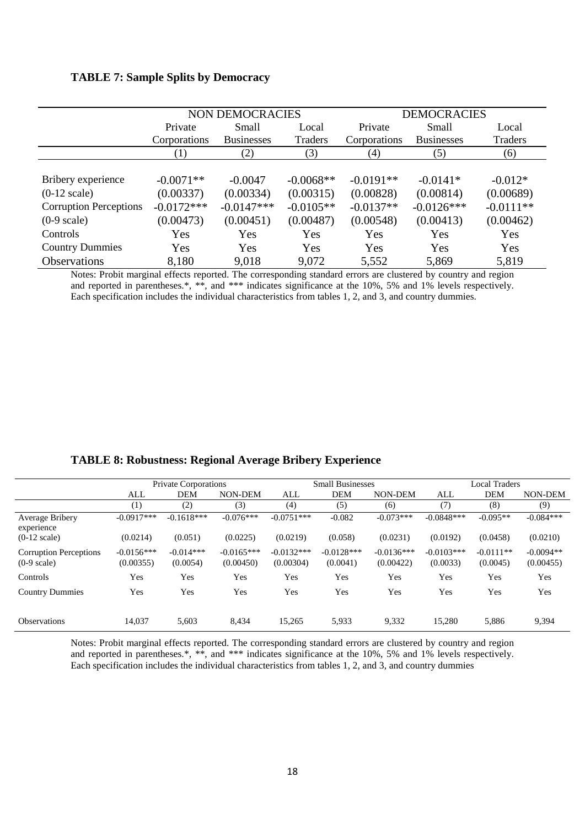#### **TABLE 7: Sample Splits by Democracy**

|                               |              | NON DEMOCRACIES   |             | <b>DEMOCRACIES</b> |                   |             |
|-------------------------------|--------------|-------------------|-------------|--------------------|-------------------|-------------|
|                               | Private      | <b>Small</b>      | Local       | Private            | Small             | Local       |
|                               | Corporations | <b>Businesses</b> | Traders     | Corporations       | <b>Businesses</b> | Traders     |
|                               | (1)          | (2)               | (3)         | (4)                | (5)               | (6)         |
|                               |              |                   |             |                    |                   |             |
| Bribery experience            | $-0.0071**$  | $-0.0047$         | $-0.0068**$ | $-0.0191**$        | $-0.0141*$        | $-0.012*$   |
| $(0-12 \text{ scale})$        | (0.00337)    | (0.00334)         | (0.00315)   | (0.00828)          | (0.00814)         | (0.00689)   |
| <b>Corruption Perceptions</b> | $-0.0172***$ | $-0.0147***$      | $-0.0105**$ | $-0.0137**$        | $-0.0126***$      | $-0.0111**$ |
| $(0-9 \text{ scale})$         | (0.00473)    | (0.00451)         | (0.00487)   | (0.00548)          | (0.00413)         | (0.00462)   |
| Controls                      | Yes          | Yes               | Yes         | Yes                | Yes               | Yes         |
| <b>Country Dummies</b>        | Yes          | Yes               | Yes         | Yes                | Yes               | Yes         |
| <b>Observations</b>           | 8,180        | 9,018             | 9,072       | 5,552              | 5,869             | 5,819       |

Notes: Probit marginal effects reported. The corresponding standard errors are clustered by country and region and reported in parentheses.\*, \*\*, and \*\*\* indicates significance at the 10%, 5% and 1% levels respectively. Each specification includes the individual characteristics from tables 1, 2, and 3, and country dummies.

|  | <b>TABLE 8: Robustness: Regional Average Bribery Experience</b> |  |
|--|-----------------------------------------------------------------|--|
|  |                                                                 |  |

|                                                        | <b>Private Corporations</b> |                         |                           | <b>Small Businesses</b>   |                          |                           | <b>Local Traders</b>     |                         |                          |
|--------------------------------------------------------|-----------------------------|-------------------------|---------------------------|---------------------------|--------------------------|---------------------------|--------------------------|-------------------------|--------------------------|
|                                                        | ALL                         | <b>DEM</b>              | NON-DEM                   | ALL                       | <b>DEM</b>               | NON-DEM                   | ALL                      | <b>DEM</b>              | <b>NON-DEM</b>           |
|                                                        | (1)                         | (2)                     | (3)                       | (4)                       | (5)                      | (6)                       | (7)                      | (8)                     | (9)                      |
| Average Bribery<br>experience                          | $-0.0917***$                | $-0.1618***$            | $-0.076***$               | $-0.0751***$              | $-0.082$                 | $-0.073***$               | $-0.0848***$             | $-0.095**$              | $-0.084***$              |
| $(0-12 \text{ scale})$                                 | (0.0214)                    | (0.051)                 | (0.0225)                  | (0.0219)                  | (0.058)                  | (0.0231)                  | (0.0192)                 | (0.0458)                | (0.0210)                 |
| <b>Corruption Perceptions</b><br>$(0-9 \text{ scale})$ | $-0.0156***$<br>(0.00355)   | $-0.014***$<br>(0.0054) | $-0.0165***$<br>(0.00450) | $-0.0132***$<br>(0.00304) | $-0.0128***$<br>(0.0041) | $-0.0136***$<br>(0.00422) | $-0.0103***$<br>(0.0033) | $-0.0111**$<br>(0.0045) | $-0.0094**$<br>(0.00455) |
| Controls                                               | Yes                         | Yes                     | Yes                       | Yes                       | Yes                      | Yes                       | Yes                      | Yes                     | Yes                      |
| <b>Country Dummies</b>                                 | Yes                         | Yes                     | Yes                       | Yes                       | Yes                      | Yes                       | Yes                      | Yes                     | Yes                      |
| <b>Observations</b>                                    | 14.037                      | 5,603                   | 8,434                     | 15,265                    | 5,933                    | 9,332                     | 15,280                   | 5,886                   | 9,394                    |

Notes: Probit marginal effects reported. The corresponding standard errors are clustered by country and region and reported in parentheses.\*, \*\*, and \*\*\* indicates significance at the 10%, 5% and 1% levels respectively. Each specification includes the individual characteristics from tables 1, 2, and 3, and country dummies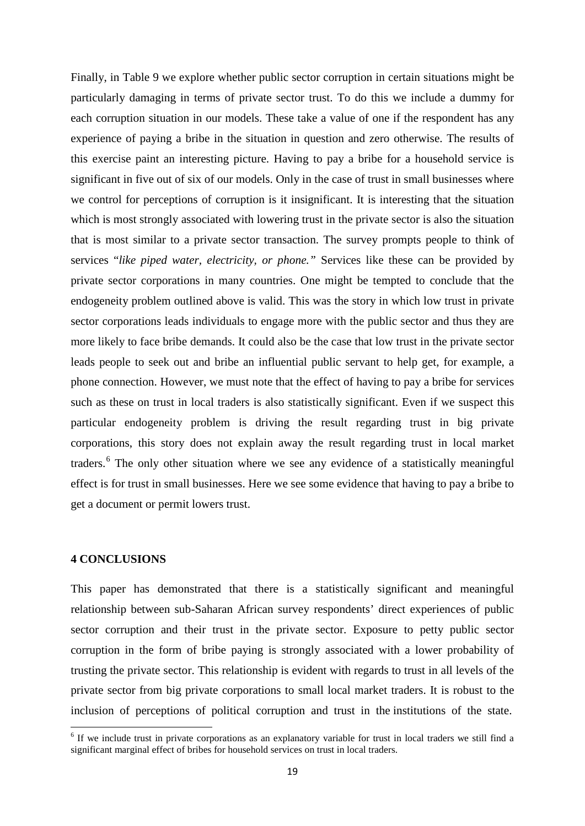Finally, in Table 9 we explore whether public sector corruption in certain situations might be particularly damaging in terms of private sector trust. To do this we include a dummy for each corruption situation in our models. These take a value of one if the respondent has any experience of paying a bribe in the situation in question and zero otherwise. The results of this exercise paint an interesting picture. Having to pay a bribe for a household service is significant in five out of six of our models. Only in the case of trust in small businesses where we control for perceptions of corruption is it insignificant. It is interesting that the situation which is most strongly associated with lowering trust in the private sector is also the situation that is most similar to a private sector transaction. The survey prompts people to think of services "*like piped water, electricity, or phone."* Services like these can be provided by private sector corporations in many countries. One might be tempted to conclude that the endogeneity problem outlined above is valid. This was the story in which low trust in private sector corporations leads individuals to engage more with the public sector and thus they are more likely to face bribe demands. It could also be the case that low trust in the private sector leads people to seek out and bribe an influential public servant to help get, for example, a phone connection. However, we must note that the effect of having to pay a bribe for services such as these on trust in local traders is also statistically significant. Even if we suspect this particular endogeneity problem is driving the result regarding trust in big private corporations, this story does not explain away the result regarding trust in local market traders.[6](#page-20-0) The only other situation where we see any evidence of a statistically meaningful effect is for trust in small businesses. Here we see some evidence that having to pay a bribe to get a document or permit lowers trust.

#### **4 CONCLUSIONS**

This paper has demonstrated that there is a statistically significant and meaningful relationship between sub-Saharan African survey respondents' direct experiences of public sector corruption and their trust in the private sector. Exposure to petty public sector corruption in the form of bribe paying is strongly associated with a lower probability of trusting the private sector. This relationship is evident with regards to trust in all levels of the private sector from big private corporations to small local market traders. It is robust to the inclusion of perceptions of political corruption and trust in the institutions of the state.

<span id="page-20-0"></span><sup>&</sup>lt;sup>6</sup> If we include trust in private corporations as an explanatory variable for trust in local traders we still find a significant marginal effect of bribes for household services on trust in local traders.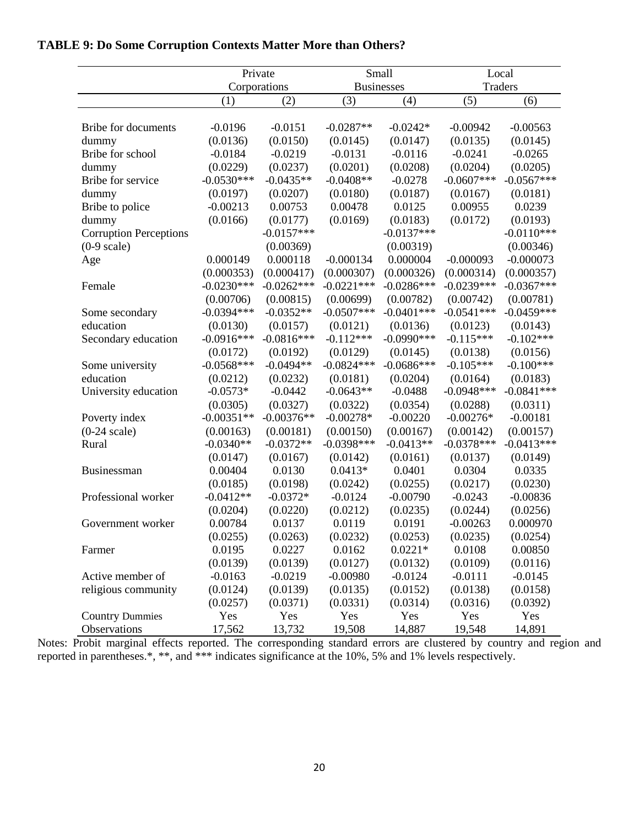|                               | Private      |              |              | Small             | Local          |              |  |
|-------------------------------|--------------|--------------|--------------|-------------------|----------------|--------------|--|
|                               |              | Corporations |              | <b>Businesses</b> | <b>Traders</b> |              |  |
|                               | (1)          | (2)          | (3)          | (4)               | (5)            | (6)          |  |
| <b>Bribe for documents</b>    | $-0.0196$    | $-0.0151$    | $-0.0287**$  | $-0.0242*$        | $-0.00942$     | $-0.00563$   |  |
| dummy                         | (0.0136)     | (0.0150)     | (0.0145)     | (0.0147)          | (0.0135)       | (0.0145)     |  |
| Bribe for school              | $-0.0184$    | $-0.0219$    | $-0.0131$    | $-0.0116$         | $-0.0241$      | $-0.0265$    |  |
| dummy                         | (0.0229)     | (0.0237)     | (0.0201)     | (0.0208)          | (0.0204)       | (0.0205)     |  |
| Bribe for service             | $-0.0530***$ | $-0.0435**$  | $-0.0408**$  | $-0.0278$         | $-0.0607$ ***  | $-0.0567***$ |  |
| dummy                         | (0.0197)     | (0.0207)     | (0.0180)     | (0.0187)          | (0.0167)       | (0.0181)     |  |
| Bribe to police               | $-0.00213$   | 0.00753      | 0.00478      | 0.0125            | 0.00955        | 0.0239       |  |
| dummy                         | (0.0166)     | (0.0177)     | (0.0169)     | (0.0183)          | (0.0172)       | (0.0193)     |  |
| <b>Corruption Perceptions</b> |              | $-0.0157***$ |              | $-0.0137***$      |                | $-0.0110***$ |  |
| $(0-9 \text{ scale})$         |              | (0.00369)    |              | (0.00319)         |                | (0.00346)    |  |
| Age                           | 0.000149     | 0.000118     | $-0.000134$  | 0.000004          | $-0.000093$    | $-0.000073$  |  |
|                               | (0.000353)   | (0.000417)   | (0.000307)   | (0.000326)        | (0.000314)     | (0.000357)   |  |
| Female                        | $-0.0230***$ | $-0.0262***$ | $-0.0221***$ | $-0.0286***$      | $-0.0239***$   | $-0.0367***$ |  |
|                               | (0.00706)    | (0.00815)    | (0.00699)    | (0.00782)         | (0.00742)      | (0.00781)    |  |
| Some secondary                | $-0.0394***$ | $-0.0352**$  | $-0.0507***$ | $-0.0401***$      | $-0.0541***$   | $-0.0459***$ |  |
| education                     | (0.0130)     | (0.0157)     | (0.0121)     | (0.0136)          | (0.0123)       | (0.0143)     |  |
| Secondary education           | $-0.0916***$ | $-0.0816***$ | $-0.112***$  | $-0.0990***$      | $-0.115***$    | $-0.102***$  |  |
|                               | (0.0172)     | (0.0192)     | (0.0129)     | (0.0145)          | (0.0138)       | (0.0156)     |  |
| Some university               | $-0.0568***$ | $-0.0494**$  | $-0.0824***$ | $-0.0686***$      | $-0.105***$    | $-0.100***$  |  |
| education                     | (0.0212)     | (0.0232)     | (0.0181)     | (0.0204)          | (0.0164)       | (0.0183)     |  |
| University education          | $-0.0573*$   | $-0.0442$    | $-0.0643**$  | $-0.0488$         | $-0.0948***$   | $-0.0841***$ |  |
|                               | (0.0305)     | (0.0327)     | (0.0322)     | (0.0354)          | (0.0288)       | (0.0311)     |  |
| Poverty index                 | $-0.00351**$ | $-0.00376**$ | $-0.00278*$  | $-0.00220$        | $-0.00276*$    | $-0.00181$   |  |
| $(0-24 \text{ scale})$        | (0.00163)    | (0.00181)    | (0.00150)    | (0.00167)         | (0.00142)      | (0.00157)    |  |
| Rural                         | $-0.0340**$  | $-0.0372**$  | $-0.0398***$ | $-0.0413**$       | $-0.0378***$   | $-0.0413***$ |  |
|                               | (0.0147)     | (0.0167)     | (0.0142)     | (0.0161)          | (0.0137)       | (0.0149)     |  |
| Businessman                   | 0.00404      | 0.0130       | $0.0413*$    | 0.0401            | 0.0304         | 0.0335       |  |
|                               | (0.0185)     | (0.0198)     | (0.0242)     | (0.0255)          | (0.0217)       | (0.0230)     |  |
| Professional worker           | $-0.0412**$  | $-0.0372*$   | $-0.0124$    | $-0.00790$        | $-0.0243$      | $-0.00836$   |  |
|                               | (0.0204)     | (0.0220)     | (0.0212)     | (0.0235)          | (0.0244)       | (0.0256)     |  |
| Government worker             | 0.00784      | 0.0137       | 0.0119       | 0.0191            | $-0.00263$     | 0.000970     |  |
|                               | (0.0255)     | (0.0263)     | (0.0232)     | (0.0253)          | (0.0235)       | (0.0254)     |  |
| Farmer                        | 0.0195       | 0.0227       | 0.0162       | $0.0221*$         | 0.0108         | 0.00850      |  |
|                               | (0.0139)     | (0.0139)     | (0.0127)     | (0.0132)          | (0.0109)       | (0.0116)     |  |
| Active member of              | $-0.0163$    | $-0.0219$    | $-0.00980$   | $-0.0124$         | $-0.0111$      | $-0.0145$    |  |
| religious community           | (0.0124)     | (0.0139)     | (0.0135)     | (0.0152)          | (0.0138)       | (0.0158)     |  |
|                               | (0.0257)     | (0.0371)     | (0.0331)     | (0.0314)          | (0.0316)       | (0.0392)     |  |
| <b>Country Dummies</b>        | Yes          | Yes          | Yes          | Yes               | Yes            | Yes          |  |
| Observations                  | 17,562       | 13,732       | 19,508       | 14,887            | 19,548         | 14,891       |  |

# **TABLE 9: Do Some Corruption Contexts Matter More than Others?**

Notes: Probit marginal effects reported. The corresponding standard errors are clustered by country and region and reported in parentheses.\*, \*\*, and \*\*\* indicates significance at the 10%, 5% and 1% levels respectively.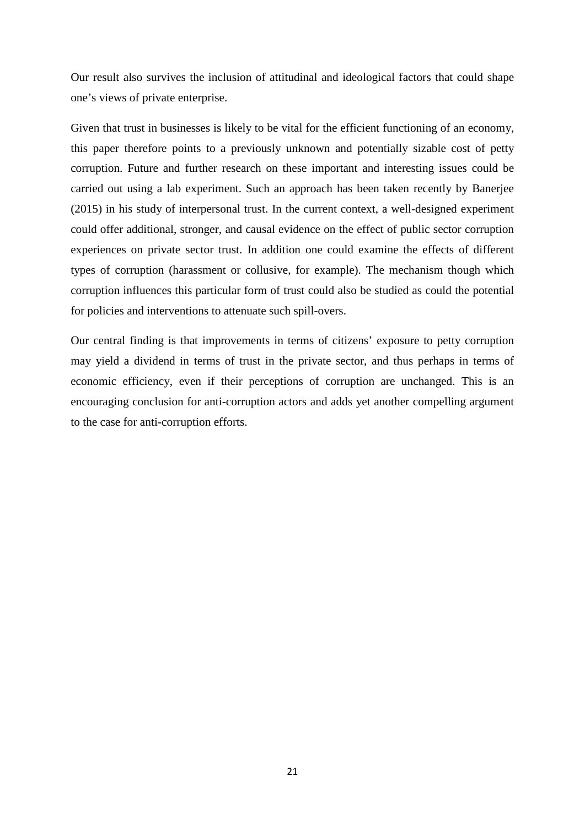Our result also survives the inclusion of attitudinal and ideological factors that could shape one's views of private enterprise.

Given that trust in businesses is likely to be vital for the efficient functioning of an economy, this paper therefore points to a previously unknown and potentially sizable cost of petty corruption. Future and further research on these important and interesting issues could be carried out using a lab experiment. Such an approach has been taken recently by Banerjee (2015) in his study of interpersonal trust. In the current context, a well-designed experiment could offer additional, stronger, and causal evidence on the effect of public sector corruption experiences on private sector trust. In addition one could examine the effects of different types of corruption (harassment or collusive, for example). The mechanism though which corruption influences this particular form of trust could also be studied as could the potential for policies and interventions to attenuate such spill-overs.

Our central finding is that improvements in terms of citizens' exposure to petty corruption may yield a dividend in terms of trust in the private sector, and thus perhaps in terms of economic efficiency, even if their perceptions of corruption are unchanged. This is an encouraging conclusion for anti-corruption actors and adds yet another compelling argument to the case for anti-corruption efforts.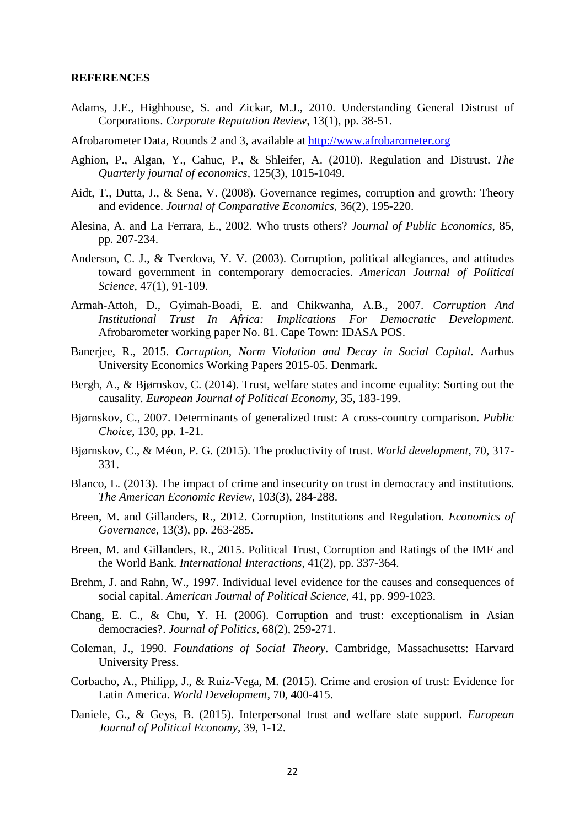#### **REFERENCES**

- Adams, J.E., Highhouse, S. and Zickar, M.J., 2010. Understanding General Distrust of Corporations. *Corporate Reputation Review*, 13(1), pp. 38-51.
- Afrobarometer Data, Rounds 2 and 3, available at [http://www.afrobarometer.org](http://www.afrobarometer.org/)
- Aghion, P., Algan, Y., Cahuc, P., & Shleifer, A. (2010). Regulation and Distrust. *The Quarterly journal of economics*, 125(3), 1015-1049.
- Aidt, T., Dutta, J., & Sena, V. (2008). Governance regimes, corruption and growth: Theory and evidence. *Journal of Comparative Economics*, 36(2), 195-220.
- Alesina, A. and La Ferrara, E., 2002. Who trusts others? *Journal of Public Economics*, 85, pp. 207-234.
- Anderson, C. J., & Tverdova, Y. V. (2003). Corruption, political allegiances, and attitudes toward government in contemporary democracies. *American Journal of Political Science*, 47(1), 91-109.
- Armah-Attoh, D., Gyimah-Boadi, E. and Chikwanha, A.B., 2007. *Corruption And Institutional Trust In Africa: Implications For Democratic Development*. Afrobarometer working paper No. 81. Cape Town: IDASA POS.
- Banerjee, R., 2015. *Corruption, Norm Violation and Decay in Social Capital*. Aarhus University Economics Working Papers 2015-05. Denmark.
- Bergh, A., & Bjørnskov, C. (2014). Trust, welfare states and income equality: Sorting out the causality. *European Journal of Political Economy*, 35, 183-199.
- Bjørnskov, C., 2007. Determinants of generalized trust: A cross-country comparison. *Public Choice*, 130, pp. 1-21.
- Bjørnskov, C., & Méon, P. G. (2015). The productivity of trust. *World development*, 70, 317- 331.
- Blanco, L. (2013). The impact of crime and insecurity on trust in democracy and institutions. *The American Economic Review*, 103(3), 284-288.
- Breen, M. and Gillanders, R., 2012. Corruption, Institutions and Regulation. *Economics of Governance*, 13(3), pp. 263-285.
- Breen, M. and Gillanders, R., 2015. Political Trust, Corruption and Ratings of the IMF and the World Bank. *International Interactions*, 41(2), pp. 337-364.
- Brehm, J. and Rahn, W., 1997. Individual level evidence for the causes and consequences of social capital. *American Journal of Political Science*, 41, pp. 999-1023.
- Chang, E. C., & Chu, Y. H. (2006). Corruption and trust: exceptionalism in Asian democracies?. *Journal of Politics*, 68(2), 259-271.
- Coleman, J., 1990. *Foundations of Social Theory*. Cambridge, Massachusetts: Harvard University Press.
- Corbacho, A., Philipp, J., & Ruiz-Vega, M. (2015). Crime and erosion of trust: Evidence for Latin America. *World Development*, 70, 400-415.
- Daniele, G., & Geys, B. (2015). Interpersonal trust and welfare state support. *European Journal of Political Economy*, 39, 1-12.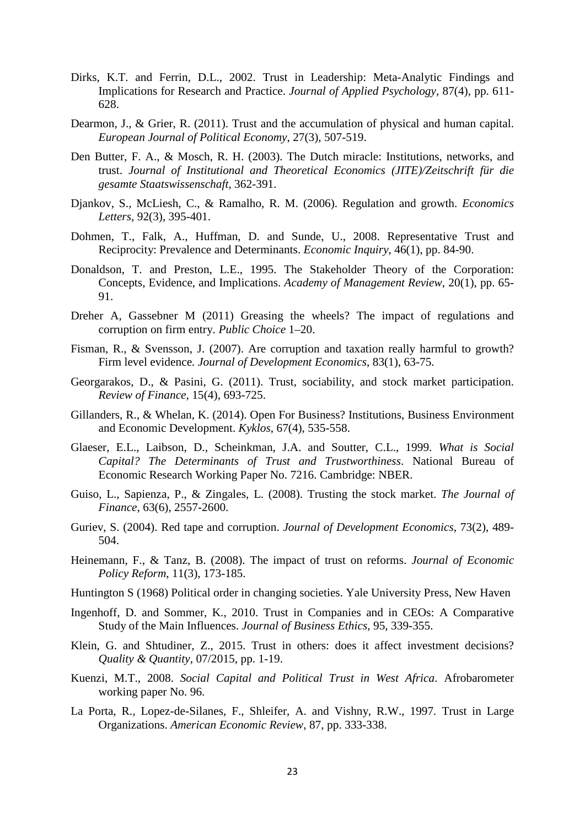- Dirks, K.T. and Ferrin, D.L., 2002. Trust in Leadership: Meta-Analytic Findings and Implications for Research and Practice. *Journal of Applied Psychology*, 87(4), pp. 611- 628.
- Dearmon, J., & Grier, R. (2011). Trust and the accumulation of physical and human capital. *European Journal of Political Economy*, 27(3), 507-519.
- Den Butter, F. A., & Mosch, R. H. (2003). The Dutch miracle: Institutions, networks, and trust. *Journal of Institutional and Theoretical Economics (JITE)/Zeitschrift für die gesamte Staatswissenschaft*, 362-391.
- Djankov, S., McLiesh, C., & Ramalho, R. M. (2006). Regulation and growth. *Economics Letters*, 92(3), 395-401.
- Dohmen, T., Falk, A., Huffman, D. and Sunde, U., 2008. Representative Trust and Reciprocity: Prevalence and Determinants. *Economic Inquiry*, 46(1), pp. 84-90.
- Donaldson, T. and Preston, L.E., 1995. The Stakeholder Theory of the Corporation: Concepts, Evidence, and Implications. *Academy of Management Review*, 20(1), pp. 65- 91.
- Dreher A, Gassebner M (2011) Greasing the wheels? The impact of regulations and corruption on firm entry. *Public Choice* 1–20.
- Fisman, R., & Svensson, J. (2007). Are corruption and taxation really harmful to growth? Firm level evidence*. Journal of Development Economics*, 83(1), 63-75.
- Georgarakos, D., & Pasini, G. (2011). Trust, sociability, and stock market participation. *Review of Finance*, 15(4), 693-725.
- Gillanders, R., & Whelan, K. (2014). Open For Business? Institutions, Business Environment and Economic Development. *Kyklos*, 67(4), 535-558.
- Glaeser, E.L., Laibson, D., Scheinkman, J.A. and Soutter, C.L., 1999. *What is Social Capital? The Determinants of Trust and Trustworthiness*. National Bureau of Economic Research Working Paper No. 7216. Cambridge: NBER.
- Guiso, L., Sapienza, P., & Zingales, L. (2008). Trusting the stock market. *The Journal of Finance*, 63(6), 2557-2600.
- Guriev, S. (2004). Red tape and corruption. *Journal of Development Economics*, 73(2), 489- 504.
- Heinemann, F., & Tanz, B. (2008). The impact of trust on reforms. *Journal of Economic Policy Reform*, 11(3), 173-185.
- Huntington S (1968) Political order in changing societies. Yale University Press, New Haven
- Ingenhoff, D. and Sommer, K., 2010. Trust in Companies and in CEOs: A Comparative Study of the Main Influences. *Journal of Business Ethics*, 95, 339-355.
- Klein, G. and Shtudiner, Z., 2015. Trust in others: does it affect investment decisions? *Quality & Quantity*, 07/2015, pp. 1-19.
- Kuenzi, M.T., 2008. *Social Capital and Political Trust in West Africa*. Afrobarometer working paper No. 96.
- La Porta, R.*,* Lopez-de-Silanes, F., Shleifer, A. and Vishny, R.W., 1997*.* Trust in Large Organizations. *American Economic Review*, 87, pp. 333-338.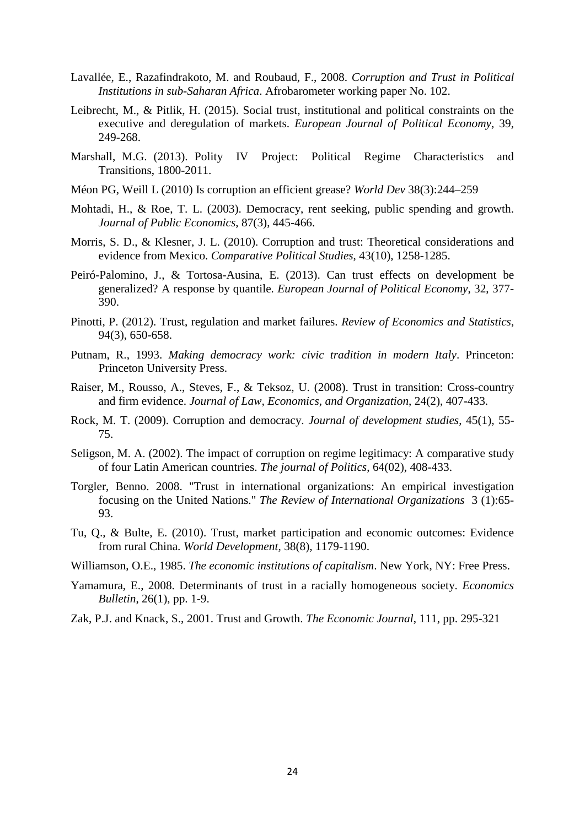- Lavallée, E., Razafindrakoto, M. and Roubaud, F., 2008. *Corruption and Trust in Political Institutions in sub-Saharan Africa*. Afrobarometer working paper No. 102.
- Leibrecht, M., & Pitlik, H. (2015). Social trust, institutional and political constraints on the executive and deregulation of markets. *European Journal of Political Economy*, 39, 249-268.
- Marshall, M.G. (2013). Polity IV Project: Political Regime Characteristics and Transitions, 1800-2011.
- Méon PG, Weill L (2010) Is corruption an efficient grease? *World Dev* 38(3):244–259
- Mohtadi, H., & Roe, T. L. (2003). Democracy, rent seeking, public spending and growth. *Journal of Public Economics*, 87(3), 445-466.
- Morris, S. D., & Klesner, J. L. (2010). Corruption and trust: Theoretical considerations and evidence from Mexico. *Comparative Political Studies*, 43(10), 1258-1285.
- Peiró-Palomino, J., & Tortosa-Ausina, E. (2013). Can trust effects on development be generalized? A response by quantile. *European Journal of Political Economy*, 32, 377- 390.
- Pinotti, P. (2012). Trust, regulation and market failures. *Review of Economics and Statistics*, 94(3), 650-658.
- Putnam, R., 1993. *Making democracy work: civic tradition in modern Italy*. Princeton: Princeton University Press.
- Raiser, M., Rousso, A., Steves, F., & Teksoz, U. (2008). Trust in transition: Cross-country and firm evidence. *Journal of Law, Economics, and Organization*, 24(2), 407-433.
- Rock, M. T. (2009). Corruption and democracy. *Journal of development studies*, 45(1), 55- 75.
- Seligson, M. A. (2002). The impact of corruption on regime legitimacy: A comparative study of four Latin American countries. *The journal of Politics*, 64(02), 408-433.
- Torgler, Benno. 2008. "Trust in international organizations: An empirical investigation focusing on the United Nations." *The Review of International Organizations* 3 (1):65- 93.
- Tu, Q., & Bulte, E. (2010). Trust, market participation and economic outcomes: Evidence from rural China. *World Development*, 38(8), 1179-1190.
- Williamson, O.E., 1985. *The economic institutions of capitalism*. New York, NY: Free Press.
- Yamamura, E., 2008. Determinants of trust in a racially homogeneous society. *Economics Bulletin*, 26(1), pp. 1-9.
- Zak, P.J. and Knack, S., 2001. Trust and Growth. *The Economic Journal*, 111, pp. 295-321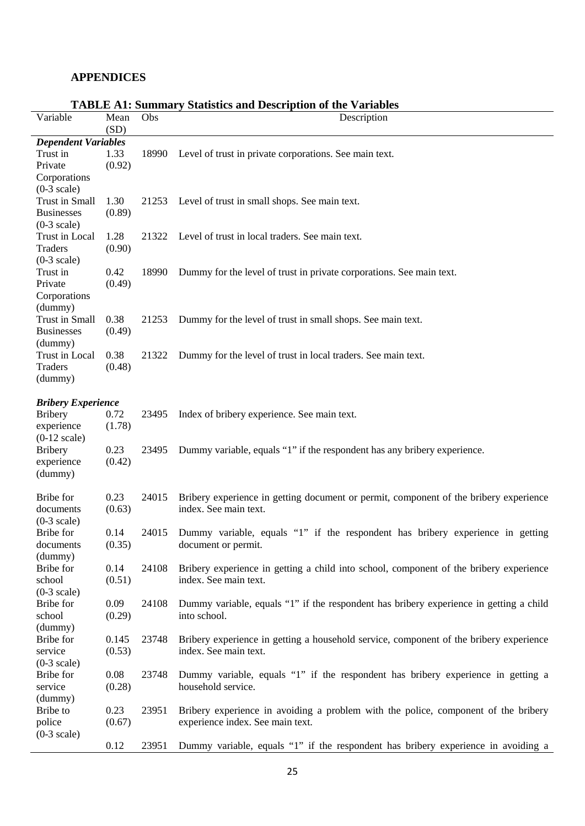## **APPENDICES**

|                            |              |       | TADLE AT: Summary Statistics and Description of the Variables                          |  |  |  |
|----------------------------|--------------|-------|----------------------------------------------------------------------------------------|--|--|--|
| Variable                   | Mean<br>(SD) | Obs   | Description                                                                            |  |  |  |
| <b>Dependent Variables</b> |              |       |                                                                                        |  |  |  |
| Trust in                   | 1.33         | 18990 | Level of trust in private corporations. See main text.                                 |  |  |  |
| Private                    | (0.92)       |       |                                                                                        |  |  |  |
| Corporations               |              |       |                                                                                        |  |  |  |
| $(0-3 \text{ scale})$      |              |       |                                                                                        |  |  |  |
| <b>Trust in Small</b>      | 1.30         | 21253 | Level of trust in small shops. See main text.                                          |  |  |  |
| <b>Businesses</b>          | (0.89)       |       |                                                                                        |  |  |  |
| $(0-3 \text{ scale})$      |              |       |                                                                                        |  |  |  |
| Trust in Local             | 1.28         | 21322 | Level of trust in local traders. See main text.                                        |  |  |  |
| Traders                    | (0.90)       |       |                                                                                        |  |  |  |
| $(0-3 scale)$              |              |       |                                                                                        |  |  |  |
| Trust in                   | 0.42         | 18990 | Dummy for the level of trust in private corporations. See main text.                   |  |  |  |
| Private                    | (0.49)       |       |                                                                                        |  |  |  |
| Corporations               |              |       |                                                                                        |  |  |  |
| (dummy)                    |              |       |                                                                                        |  |  |  |
| Trust in Small             | 0.38         | 21253 | Dummy for the level of trust in small shops. See main text.                            |  |  |  |
| <b>Businesses</b>          | (0.49)       |       |                                                                                        |  |  |  |
| (dummy)                    |              |       |                                                                                        |  |  |  |
| Trust in Local             | 0.38         | 21322 | Dummy for the level of trust in local traders. See main text.                          |  |  |  |
| Traders                    | (0.48)       |       |                                                                                        |  |  |  |
| (dummy)                    |              |       |                                                                                        |  |  |  |
| <b>Bribery Experience</b>  |              |       |                                                                                        |  |  |  |
| <b>Bribery</b>             | 0.72         | 23495 | Index of bribery experience. See main text.                                            |  |  |  |
| experience                 | (1.78)       |       |                                                                                        |  |  |  |
| $(0-12 \text{ scale})$     |              |       |                                                                                        |  |  |  |
| <b>Bribery</b>             | 0.23         | 23495 | Dummy variable, equals "1" if the respondent has any bribery experience.               |  |  |  |
| experience                 | (0.42)       |       |                                                                                        |  |  |  |
| (dummy)                    |              |       |                                                                                        |  |  |  |
| Bribe for                  | 0.23         | 24015 | Bribery experience in getting document or permit, component of the bribery experience  |  |  |  |
| documents                  | (0.63)       |       | index. See main text.                                                                  |  |  |  |
| $(0-3 scale)$              |              |       |                                                                                        |  |  |  |
| Bribe for                  | 0.14         | 24015 | Dummy variable, equals "1" if the respondent has bribery experience in getting         |  |  |  |
| documents                  | (0.35)       |       | document or permit.                                                                    |  |  |  |
| (dummy)                    |              |       |                                                                                        |  |  |  |
| Bribe for                  | 0.14         | 24108 | Bribery experience in getting a child into school, component of the bribery experience |  |  |  |
| school                     | (0.51)       |       | index. See main text.                                                                  |  |  |  |
| $(0-3 scale)$              |              |       |                                                                                        |  |  |  |
| Bribe for                  | 0.09         | 24108 | Dummy variable, equals "1" if the respondent has bribery experience in getting a child |  |  |  |
| school                     | (0.29)       |       | into school.                                                                           |  |  |  |
| (dummy)                    |              |       |                                                                                        |  |  |  |
| Bribe for                  | 0.145        | 23748 | Bribery experience in getting a household service, component of the bribery experience |  |  |  |
| service                    | (0.53)       |       | index. See main text.                                                                  |  |  |  |
| $(0-3 scale)$              |              |       |                                                                                        |  |  |  |
| Bribe for                  | 0.08         | 23748 | Dummy variable, equals "1" if the respondent has bribery experience in getting a       |  |  |  |
| service                    | (0.28)       |       | household service.                                                                     |  |  |  |
| (dummy)                    |              |       |                                                                                        |  |  |  |
| Bribe to                   | 0.23         | 23951 | Bribery experience in avoiding a problem with the police, component of the bribery     |  |  |  |
| police                     | (0.67)       |       | experience index. See main text.                                                       |  |  |  |
| $(0-3 scale)$              |              |       |                                                                                        |  |  |  |
|                            | 0.12         | 23951 | Dummy variable, equals "1" if the respondent has bribery experience in avoiding a      |  |  |  |

### **TABLE A1: Summary Statistics and Description of the Variables**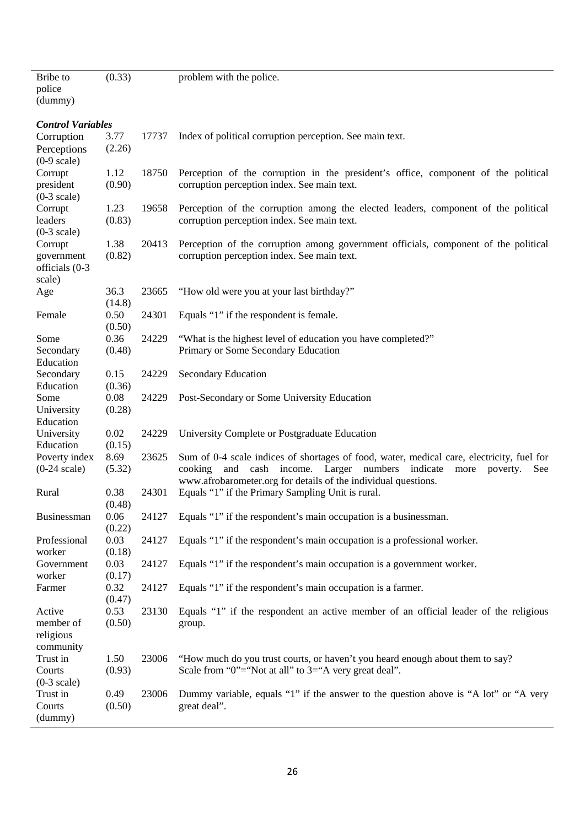| Bribe to                 | (0.33) |       | problem with the police.                                                                                                                      |
|--------------------------|--------|-------|-----------------------------------------------------------------------------------------------------------------------------------------------|
| police                   |        |       |                                                                                                                                               |
| (dummy)                  |        |       |                                                                                                                                               |
|                          |        |       |                                                                                                                                               |
| <b>Control Variables</b> |        |       |                                                                                                                                               |
| Corruption               | 3.77   | 17737 | Index of political corruption perception. See main text.                                                                                      |
| Perceptions              | (2.26) |       |                                                                                                                                               |
| $(0-9 \text{ scale})$    |        |       |                                                                                                                                               |
| Corrupt                  | 1.12   | 18750 | Perception of the corruption in the president's office, component of the political                                                            |
| president                | (0.90) |       | corruption perception index. See main text.                                                                                                   |
| $(0-3 scale)$            | 1.23   | 19658 | Perception of the corruption among the elected leaders, component of the political                                                            |
| Corrupt<br>leaders       | (0.83) |       | corruption perception index. See main text.                                                                                                   |
| $(0-3 scale)$            |        |       |                                                                                                                                               |
| Corrupt                  | 1.38   | 20413 | Perception of the corruption among government officials, component of the political                                                           |
| government               | (0.82) |       | corruption perception index. See main text.                                                                                                   |
| officials (0-3           |        |       |                                                                                                                                               |
| scale)                   |        |       |                                                                                                                                               |
| Age                      | 36.3   | 23665 | "How old were you at your last birthday?"                                                                                                     |
|                          | (14.8) |       |                                                                                                                                               |
| Female                   | 0.50   | 24301 | Equals "1" if the respondent is female.                                                                                                       |
|                          | (0.50) |       |                                                                                                                                               |
| Some                     | 0.36   | 24229 | "What is the highest level of education you have completed?"                                                                                  |
| Secondary                | (0.48) |       | Primary or Some Secondary Education                                                                                                           |
| Education                |        |       |                                                                                                                                               |
| Secondary                | 0.15   | 24229 | <b>Secondary Education</b>                                                                                                                    |
| Education                | (0.36) |       |                                                                                                                                               |
| Some                     | 0.08   | 24229 | Post-Secondary or Some University Education                                                                                                   |
| University               | (0.28) |       |                                                                                                                                               |
| Education                |        |       |                                                                                                                                               |
| University               | 0.02   | 24229 | University Complete or Postgraduate Education                                                                                                 |
| Education                | (0.15) |       |                                                                                                                                               |
| Poverty index            | 8.69   | 23625 | Sum of 0-4 scale indices of shortages of food, water, medical care, electricity, fuel for                                                     |
| $(0-24 \text{ scale})$   | (5.32) |       | cooking and cash income. Larger numbers indicate<br>more<br>poverty.<br>See<br>www.afrobarometer.org for details of the individual questions. |
| Rural                    | 0.38   | 24301 | Equals "1" if the Primary Sampling Unit is rural.                                                                                             |
|                          | (0.48) |       |                                                                                                                                               |
| Businessman              | 0.06   | 24127 | Equals "1" if the respondent's main occupation is a businessman.                                                                              |
|                          | (0.22) |       |                                                                                                                                               |
| Professional             | 0.03   | 24127 | Equals "1" if the respondent's main occupation is a professional worker.                                                                      |
| worker                   | (0.18) |       |                                                                                                                                               |
| Government               | 0.03   | 24127 | Equals "1" if the respondent's main occupation is a government worker.                                                                        |
| worker                   | (0.17) |       |                                                                                                                                               |
| Farmer                   | 0.32   | 24127 | Equals "1" if the respondent's main occupation is a farmer.                                                                                   |
|                          | (0.47) |       |                                                                                                                                               |
| Active                   | 0.53   | 23130 | Equals "1" if the respondent an active member of an official leader of the religious                                                          |
| member of                | (0.50) |       | group.                                                                                                                                        |
| religious                |        |       |                                                                                                                                               |
| community                |        |       |                                                                                                                                               |
| Trust in                 | 1.50   | 23006 | "How much do you trust courts, or haven't you heard enough about them to say?                                                                 |
| Courts                   | (0.93) |       | Scale from "0"="Not at all" to $3$ ="A very great deal".                                                                                      |
| $(0-3 \text{ scale})$    |        |       |                                                                                                                                               |
| Trust in                 | 0.49   | 23006 | Dummy variable, equals "1" if the answer to the question above is "A lot" or "A very                                                          |
| Courts                   | (0.50) |       | great deal".                                                                                                                                  |
| (dummy)                  |        |       |                                                                                                                                               |